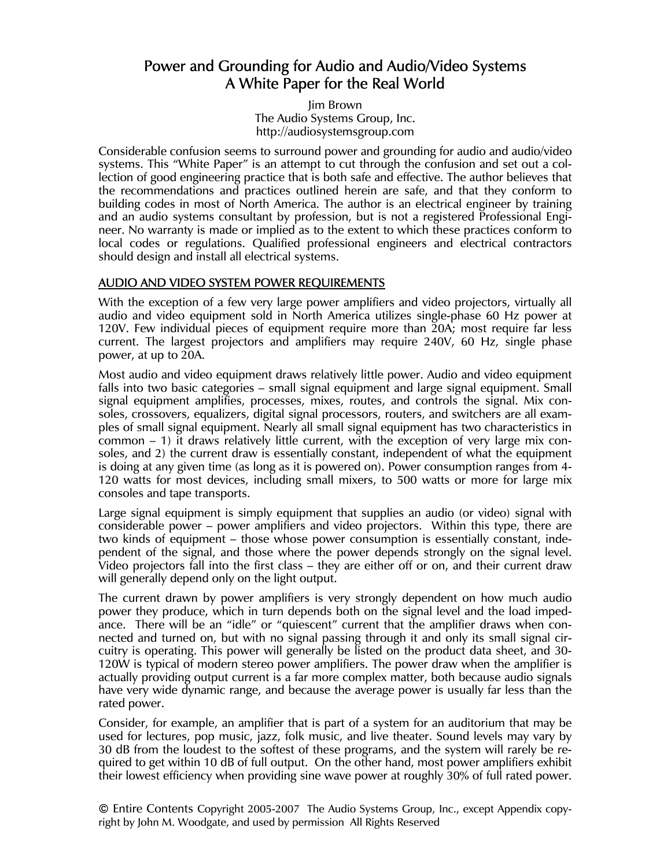# Power and Grounding for Audio and Audio/Video Systems A White Paper for the Real World

Jim Brown The Audio Systems Group, Inc. http://audiosystemsgroup.com

Considerable confusion seems to surround power and grounding for audio and audio/video systems. This "White Paper" is an attempt to cut through the confusion and set out a collection of good engineering practice that is both safe and effective. The author believes that the recommendations and practices outlined herein are safe, and that they conform to building codes in most of North America. The author is an electrical engineer by training and an audio systems consultant by profession, but is not a registered Professional Engineer. No warranty is made or implied as to the extent to which these practices conform to local codes or regulations. Qualified professional engineers and electrical contractors should design and install all electrical systems.

#### AUDIO AND VIDEO SYSTEM POWER REQUIREMENTS

With the exception of a few very large power amplifiers and video projectors, virtually all audio and video equipment sold in North America utilizes single-phase 60 Hz power at 120V. Few individual pieces of equipment require more than 20A; most require far less current. The largest projectors and amplifiers may require 240V, 60 Hz, single phase power, at up to 20A.

Most audio and video equipment draws relatively little power. Audio and video equipment falls into two basic categories – small signal equipment and large signal equipment. Small signal equipment amplifies, processes, mixes, routes, and controls the signal. Mix consoles, crossovers, equalizers, digital signal processors, routers, and switchers are all examples of small signal equipment. Nearly all small signal equipment has two characteristics in common – 1) it draws relatively little current, with the exception of very large mix consoles, and 2) the current draw is essentially constant, independent of what the equipment is doing at any given time (as long as it is powered on). Power consumption ranges from 4- 120 watts for most devices, including small mixers, to 500 watts or more for large mix consoles and tape transports.

Large signal equipment is simply equipment that supplies an audio (or video) signal with considerable power – power amplifiers and video projectors. Within this type, there are two kinds of equipment – those whose power consumption is essentially constant, independent of the signal, and those where the power depends strongly on the signal level. Video projectors fall into the first class – they are either off or on, and their current draw will generally depend only on the light output.

The current drawn by power amplifiers is very strongly dependent on how much audio power they produce, which in turn depends both on the signal level and the load impedance. There will be an "idle" or "quiescent" current that the amplifier draws when connected and turned on, but with no signal passing through it and only its small signal circuitry is operating. This power will generally be listed on the product data sheet, and 30- 120W is typical of modern stereo power amplifiers. The power draw when the amplifier is actually providing output current is a far more complex matter, both because audio signals have very wide dynamic range, and because the average power is usually far less than the rated power.

Consider, for example, an amplifier that is part of a system for an auditorium that may be used for lectures, pop music, jazz, folk music, and live theater. Sound levels may vary by 30 dB from the loudest to the softest of these programs, and the system will rarely be required to get within 10 dB of full output. On the other hand, most power amplifiers exhibit their lowest efficiency when providing sine wave power at roughly 30% of full rated power.

© Entire Contents Copyright 2005-2007 The Audio Systems Group, Inc., except Appendix copyright by John M. Woodgate, and used by permission All Rights Reserved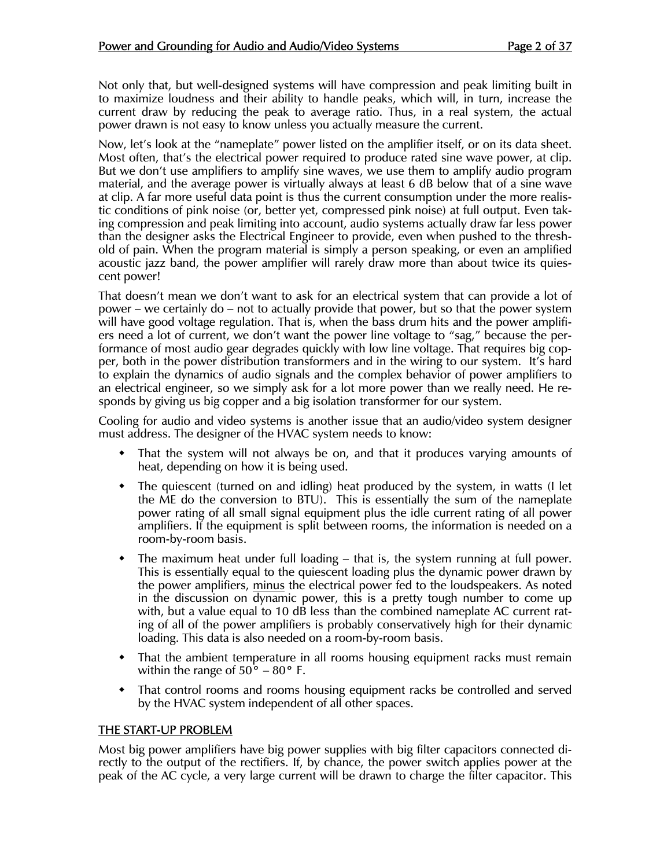Not only that, but well-designed systems will have compression and peak limiting built in to maximize loudness and their ability to handle peaks, which will, in turn, increase the current draw by reducing the peak to average ratio. Thus, in a real system, the actual power drawn is not easy to know unless you actually measure the current.

Now, let's look at the "nameplate" power listed on the amplifier itself, or on its data sheet. Most often, that's the electrical power required to produce rated sine wave power, at clip. But we don't use amplifiers to amplify sine waves, we use them to amplify audio program material, and the average power is virtually always at least 6 dB below that of a sine wave at clip. A far more useful data point is thus the current consumption under the more realistic conditions of pink noise (or, better yet, compressed pink noise) at full output. Even taking compression and peak limiting into account, audio systems actually draw far less power than the designer asks the Electrical Engineer to provide, even when pushed to the threshold of pain. When the program material is simply a person speaking, or even an amplified acoustic jazz band, the power amplifier will rarely draw more than about twice its quiescent power!

That doesn't mean we don't want to ask for an electrical system that can provide a lot of power – we certainly do – not to actually provide that power, but so that the power system will have good voltage regulation. That is, when the bass drum hits and the power amplifiers need a lot of current, we don't want the power line voltage to "sag," because the performance of most audio gear degrades quickly with low line voltage. That requires big copper, both in the power distribution transformers and in the wiring to our system. It's hard to explain the dynamics of audio signals and the complex behavior of power amplifiers to an electrical engineer, so we simply ask for a lot more power than we really need. He responds by giving us big copper and a big isolation transformer for our system.

Cooling for audio and video systems is another issue that an audio/video system designer must address. The designer of the HVAC system needs to know:

- That the system will not always be on, and that it produces varying amounts of heat, depending on how it is being used.
- The quiescent (turned on and idling) heat produced by the system, in watts (I let the ME do the conversion to BTU). This is essentially the sum of the nameplate power rating of all small signal equipment plus the idle current rating of all power amplifiers. If the equipment is split between rooms, the information is needed on a room-by-room basis.
- The maximum heat under full loading that is, the system running at full power. This is essentially equal to the quiescent loading plus the dynamic power drawn by the power amplifiers, minus the electrical power fed to the loudspeakers. As noted in the discussion on dynamic power, this is a pretty tough number to come up with, but a value equal to 10 dB less than the combined nameplate AC current rating of all of the power amplifiers is probably conservatively high for their dynamic loading. This data is also needed on a room-by-room basis.
- That the ambient temperature in all rooms housing equipment racks must remain within the range of  $50^{\circ}$  –  $80^{\circ}$  F.
- That control rooms and rooms housing equipment racks be controlled and served by the HVAC system independent of all other spaces.

#### THE START-UP PROBLEM

Most big power amplifiers have big power supplies with big filter capacitors connected directly to the output of the rectifiers. If, by chance, the power switch applies power at the peak of the AC cycle, a very large current will be drawn to charge the filter capacitor. This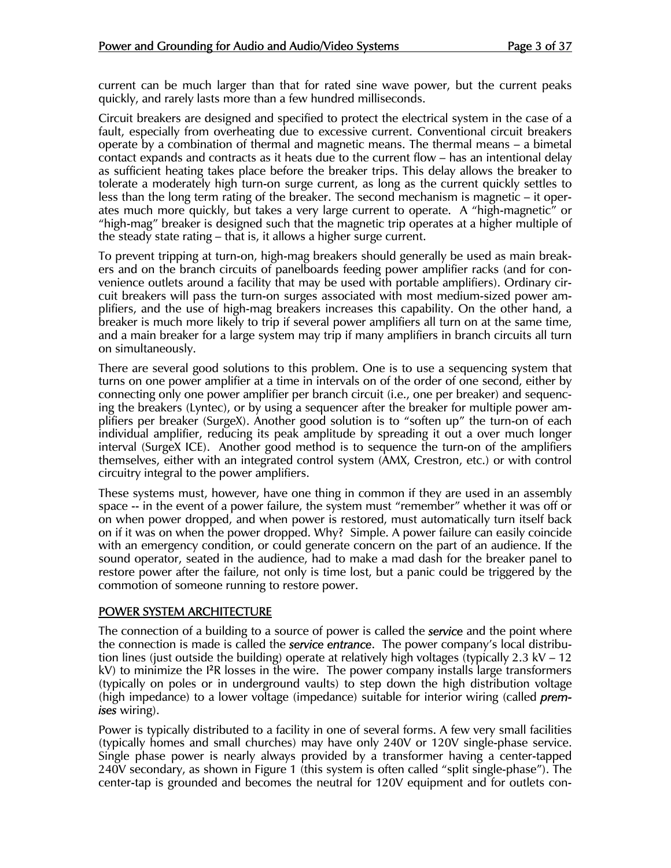current can be much larger than that for rated sine wave power, but the current peaks quickly, and rarely lasts more than a few hundred milliseconds.

Circuit breakers are designed and specified to protect the electrical system in the case of a fault, especially from overheating due to excessive current. Conventional circuit breakers operate by a combination of thermal and magnetic means. The thermal means – a bimetal contact expands and contracts as it heats due to the current flow – has an intentional delay as sufficient heating takes place before the breaker trips. This delay allows the breaker to tolerate a moderately high turn-on surge current, as long as the current quickly settles to less than the long term rating of the breaker. The second mechanism is magnetic – it operates much more quickly, but takes a very large current to operate. A "high-magnetic" or "high-mag" breaker is designed such that the magnetic trip operates at a higher multiple of the steady state rating – that is, it allows a higher surge current.

To prevent tripping at turn-on, high-mag breakers should generally be used as main breakers and on the branch circuits of panelboards feeding power amplifier racks (and for convenience outlets around a facility that may be used with portable amplifiers). Ordinary circuit breakers will pass the turn-on surges associated with most medium-sized power amplifiers, and the use of high-mag breakers increases this capability. On the other hand, a breaker is much more likely to trip if several power amplifiers all turn on at the same time, and a main breaker for a large system may trip if many amplifiers in branch circuits all turn on simultaneously.

There are several good solutions to this problem. One is to use a sequencing system that turns on one power amplifier at a time in intervals on of the order of one second, either by connecting only one power amplifier per branch circuit (i.e., one per breaker) and sequencing the breakers (Lyntec), or by using a sequencer after the breaker for multiple power amplifiers per breaker (SurgeX). Another good solution is to "soften up" the turn-on of each individual amplifier, reducing its peak amplitude by spreading it out a over much longer interval (SurgeX ICE). Another good method is to sequence the turn-on of the amplifiers themselves, either with an integrated control system (AMX, Crestron, etc.) or with control circuitry integral to the power amplifiers.

These systems must, however, have one thing in common if they are used in an assembly space -- in the event of a power failure, the system must "remember" whether it was off or on when power dropped, and when power is restored, must automatically turn itself back on if it was on when the power dropped. Why? Simple. A power failure can easily coincide with an emergency condition, or could generate concern on the part of an audience. If the sound operator, seated in the audience, had to make a mad dash for the breaker panel to restore power after the failure, not only is time lost, but a panic could be triggered by the commotion of someone running to restore power.

#### POWER SYSTEM ARCHITECTURE

The connection of a building to a source of power is called the *service* and the point where the connection is made is called the *service entrance*. The power company's local distribution lines (just outside the building) operate at relatively high voltages (typically 2.3 kV – 12 kV) to minimize the <sup>12</sup>R losses in the wire. The power company installs large transformers (typically on poles or in underground vaults) to step down the high distribution voltage (high impedance) to a lower voltage (impedance) suitable for interior wiring (called *premises* wiring).

Power is typically distributed to a facility in one of several forms. A few very small facilities (typically homes and small churches) may have only 240V or 120V single-phase service. Single phase power is nearly always provided by a transformer having a center-tapped 240V secondary, as shown in Figure 1 (this system is often called "split single-phase"). The center-tap is grounded and becomes the neutral for 120V equipment and for outlets con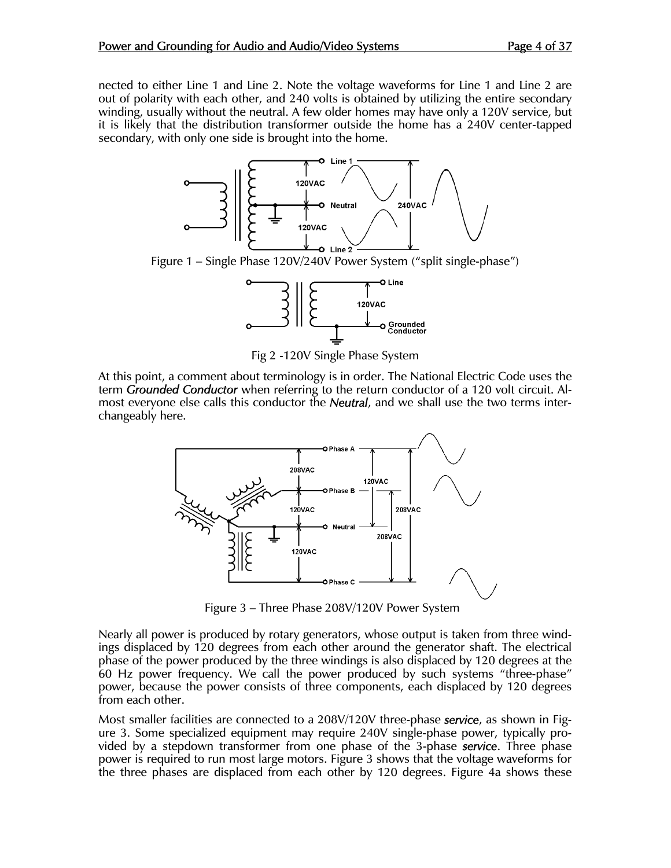nected to either Line 1 and Line 2. Note the voltage waveforms for Line 1 and Line 2 are out of polarity with each other, and 240 volts is obtained by utilizing the entire secondary winding, usually without the neutral. A few older homes may have only a 120V service, but it is likely that the distribution transformer outside the home has a 240V center-tapped secondary, with only one side is brought into the home.



Figure 1 – Single Phase 120V/240V Power System ("split single-phase")



Fig 2 -120V Single Phase System

At this point, a comment about terminology is in order. The National Electric Code uses the term *Grounded Conductor* when referring to the return conductor of a 120 volt circuit. Almost everyone else calls this conductor the *Neutral*, and we shall use the two terms interchangeably here.



Figure 3 – Three Phase 208V/120V Power System

Nearly all power is produced by rotary generators, whose output is taken from three windings displaced by 120 degrees from each other around the generator shaft. The electrical phase of the power produced by the three windings is also displaced by 120 degrees at the 60 Hz power frequency. We call the power produced by such systems "three-phase" power, because the power consists of three components, each displaced by 120 degrees from each other.

Most smaller facilities are connected to a 208V/120V three-phase *service*, as shown in Figure 3. Some specialized equipment may require 240V single-phase power, typically provided by a stepdown transformer from one phase of the 3-phase *service*. Three phase power is required to run most large motors. Figure 3 shows that the voltage waveforms for the three phases are displaced from each other by 120 degrees. Figure 4a shows these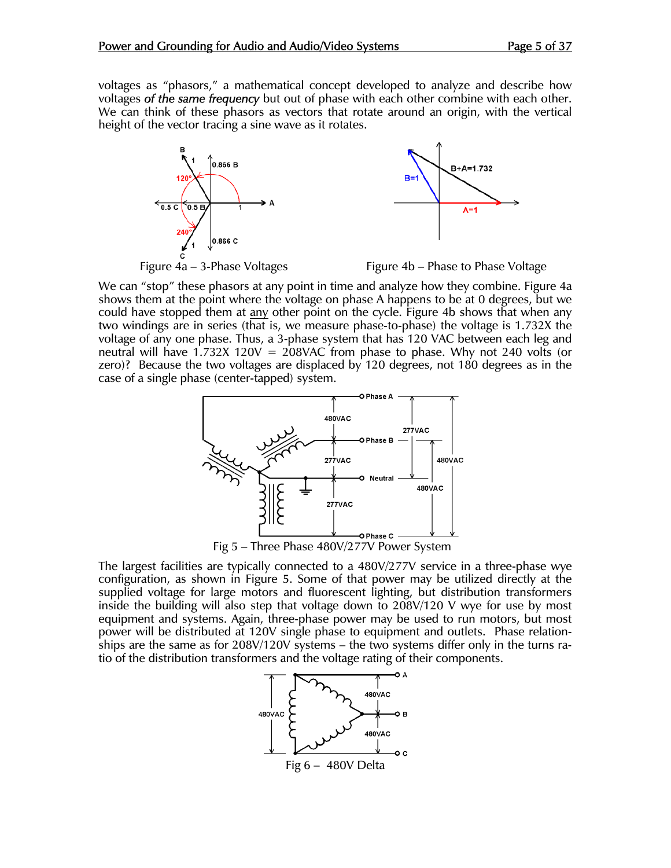voltages as "phasors," a mathematical concept developed to analyze and describe how voltages *of the same frequency* but out of phase with each other combine with each other. We can think of these phasors as vectors that rotate around an origin, with the vertical height of the vector tracing a sine wave as it rotates.



We can "stop" these phasors at any point in time and analyze how they combine. Figure 4a shows them at the point where the voltage on phase A happens to be at 0 degrees, but we could have stopped them at any other point on the cycle. Figure 4b shows that when any two windings are in series (that is, we measure phase-to-phase) the voltage is 1.732X the voltage of any one phase. Thus, a 3-phase system that has 120 VAC between each leg and neutral will have 1.732X 120V = 208VAC from phase to phase. Why not 240 volts (or zero)? Because the two voltages are displaced by 120 degrees, not 180 degrees as in the case of a single phase (center-tapped) system.



Fig 5 – Three Phase 480V/277V Power System

The largest facilities are typically connected to a 480V/277V service in a three-phase wye configuration, as shown in Figure 5. Some of that power may be utilized directly at the supplied voltage for large motors and fluorescent lighting, but distribution transformers inside the building will also step that voltage down to 208V/120 V wye for use by most equipment and systems. Again, three-phase power may be used to run motors, but most power will be distributed at 120V single phase to equipment and outlets. Phase relationships are the same as for 208V/120V systems – the two systems differ only in the turns ratio of the distribution transformers and the voltage rating of their components.

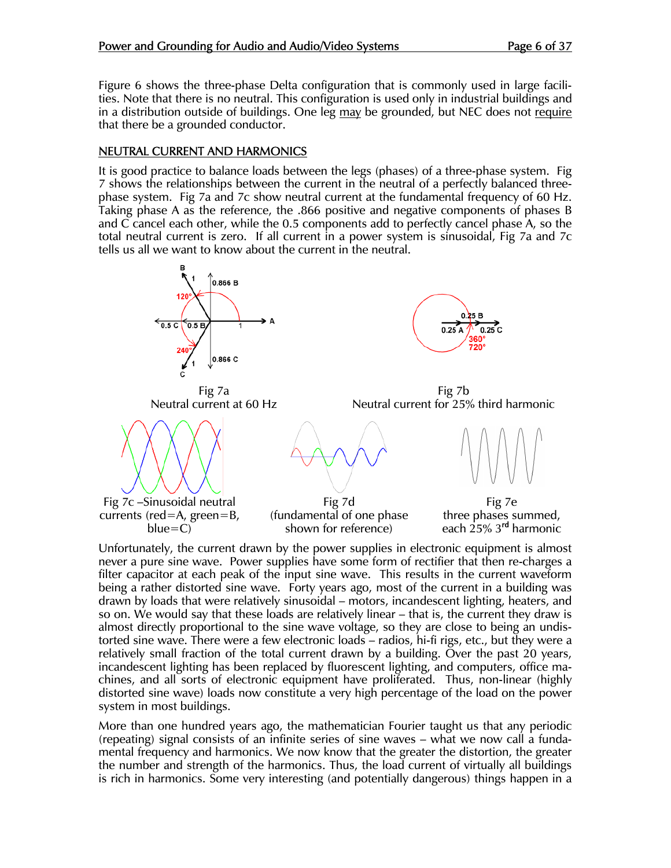Figure 6 shows the three-phase Delta configuration that is commonly used in large facilities. Note that there is no neutral. This configuration is used only in industrial buildings and in a distribution outside of buildings. One leg may be grounded, but NEC does not require that there be a grounded conductor.

### NEUTRAL CURRENT AND HARMONICS

It is good practice to balance loads between the legs (phases) of a three-phase system. Fig 7 shows the relationships between the current in the neutral of a perfectly balanced threephase system. Fig 7a and 7c show neutral current at the fundamental frequency of 60 Hz. Taking phase A as the reference, the .866 positive and negative components of phases B and C cancel each other, while the 0.5 components add to perfectly cancel phase A, so the total neutral current is zero. If all current in a power system is sinusoidal, Fig 7a and 7c tells us all we want to know about the current in the neutral.



Unfortunately, the current drawn by the power supplies in electronic equipment is almost never a pure sine wave. Power supplies have some form of rectifier that then re-charges a filter capacitor at each peak of the input sine wave. This results in the current waveform being a rather distorted sine wave. Forty years ago, most of the current in a building was drawn by loads that were relatively sinusoidal – motors, incandescent lighting, heaters, and so on. We would say that these loads are relatively linear – that is, the current they draw is almost directly proportional to the sine wave voltage, so they are close to being an undistorted sine wave. There were a few electronic loads – radios, hi-fi rigs, etc., but they were a relatively small fraction of the total current drawn by a building. Over the past 20 years, incandescent lighting has been replaced by fluorescent lighting, and computers, office machines, and all sorts of electronic equipment have proliferated. Thus, non-linear (highly distorted sine wave) loads now constitute a very high percentage of the load on the power system in most buildings.

More than one hundred years ago, the mathematician Fourier taught us that any periodic (repeating) signal consists of an infinite series of sine waves – what we now call a fundamental frequency and harmonics. We now know that the greater the distortion, the greater the number and strength of the harmonics. Thus, the load current of virtually all buildings is rich in harmonics. Some very interesting (and potentially dangerous) things happen in a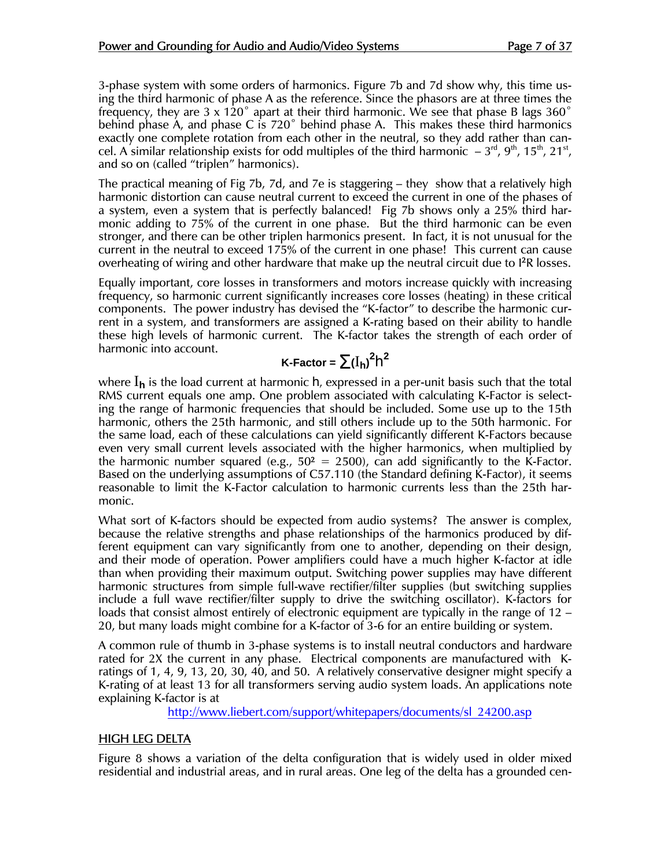3-phase system with some orders of harmonics. Figure 7b and 7d show why, this time using the third harmonic of phase A as the reference. Since the phasors are at three times the frequency, they are 3 x 120 $^{\circ}$  apart at their third harmonic. We see that phase B lags 360 $^{\circ}$ behind phase A, and phase C is 720˚ behind phase A. This makes these third harmonics exactly one complete rotation from each other in the neutral, so they add rather than cancel. A similar relationship exists for odd multiples of the third harmonic  $-3^{rd}$ , 9<sup>th</sup>, 15<sup>th</sup>, 21<sup>st</sup>, and so on (called "triplen" harmonics).

The practical meaning of Fig 7b, 7d, and 7e is staggering – they show that a relatively high harmonic distortion can cause neutral current to exceed the current in one of the phases of a system, even a system that is perfectly balanced! Fig 7b shows only a 25% third harmonic adding to 75% of the current in one phase. But the third harmonic can be even stronger, and there can be other triplen harmonics present. In fact, it is not unusual for the current in the neutral to exceed 175% of the current in one phase! This current can cause overheating of wiring and other hardware that make up the neutral circuit due to <sup>12</sup>R losses.

Equally important, core losses in transformers and motors increase quickly with increasing frequency, so harmonic current significantly increases core losses (heating) in these critical components. The power industry has devised the "K-factor" to describe the harmonic current in a system, and transformers are assigned a K-rating based on their ability to handle these high levels of harmonic current. The K-factor takes the strength of each order of harmonic into account.

# **K-Factor** =  $\sum(I_h)^2h^2$

where I**<sup>h</sup>** is the load current at harmonic h, expressed in a per-unit basis such that the total RMS current equals one amp. One problem associated with calculating K-Factor is selecting the range of harmonic frequencies that should be included. Some use up to the 15th harmonic, others the 25th harmonic, and still others include up to the 50th harmonic. For the same load, each of these calculations can yield significantly different K-Factors because even very small current levels associated with the higher harmonics, when multiplied by the harmonic number squared (e.g.,  $50^2 = 2500$ ), can add significantly to the K-Factor. Based on the underlying assumptions of C57.110 (the Standard defining K-Factor), it seems reasonable to limit the K-Factor calculation to harmonic currents less than the 25th harmonic.

What sort of K-factors should be expected from audio systems? The answer is complex, because the relative strengths and phase relationships of the harmonics produced by different equipment can vary significantly from one to another, depending on their design, and their mode of operation. Power amplifiers could have a much higher K-factor at idle than when providing their maximum output. Switching power supplies may have different harmonic structures from simple full-wave rectifier/filter supplies (but switching supplies include a full wave rectifier/filter supply to drive the switching oscillator). K-factors for loads that consist almost entirely of electronic equipment are typically in the range of 12 – 20, but many loads might combine for a K-factor of 3-6 for an entire building or system.

A common rule of thumb in 3-phase systems is to install neutral conductors and hardware rated for 2X the current in any phase. Electrical components are manufactured with Kratings of 1, 4, 9, 13, 20, 30, 40, and 50. A relatively conservative designer might specify a K-rating of at least 13 for all transformers serving audio system loads. An applications note explaining K-factor is at

http://www.liebert.com/support/whitepapers/documents/sl\_24200.asp

## HIGH LEG DELTA

Figure 8 shows a variation of the delta configuration that is widely used in older mixed residential and industrial areas, and in rural areas. One leg of the delta has a grounded cen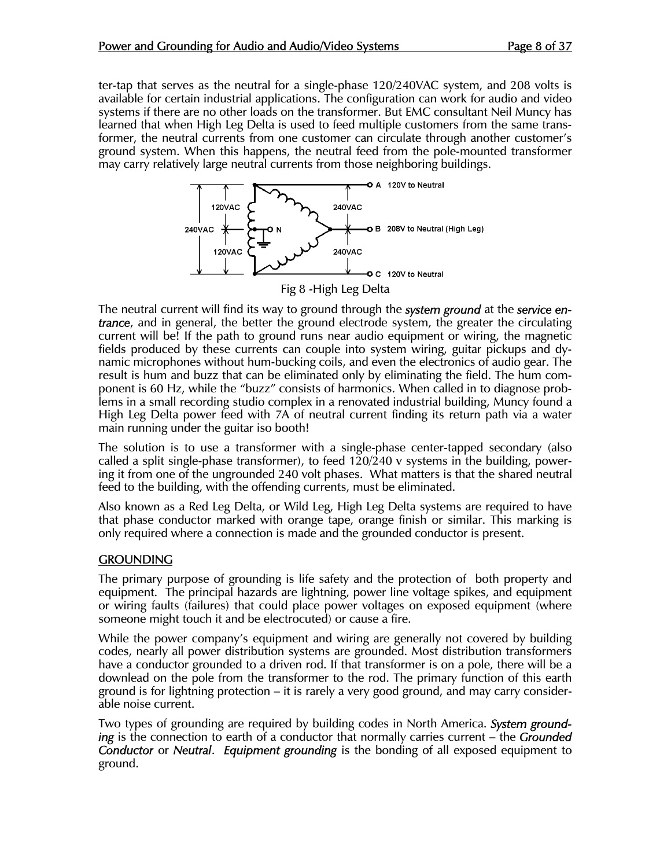ter-tap that serves as the neutral for a single-phase 120/240VAC system, and 208 volts is available for certain industrial applications. The configuration can work for audio and video systems if there are no other loads on the transformer. But EMC consultant Neil Muncy has learned that when High Leg Delta is used to feed multiple customers from the same transformer, the neutral currents from one customer can circulate through another customer's ground system. When this happens, the neutral feed from the pole-mounted transformer may carry relatively large neutral currents from those neighboring buildings.



The neutral current will find its way to ground through the *system ground* at the *service entrance*, and in general, the better the ground electrode system, the greater the circulating current will be! If the path to ground runs near audio equipment or wiring, the magnetic fields produced by these currents can couple into system wiring, guitar pickups and dynamic microphones without hum-bucking coils, and even the electronics of audio gear. The result is hum and buzz that can be eliminated only by eliminating the field. The hum component is 60 Hz, while the "buzz" consists of harmonics. When called in to diagnose problems in a small recording studio complex in a renovated industrial building, Muncy found a High Leg Delta power feed with 7A of neutral current finding its return path via a water main running under the guitar iso booth!

The solution is to use a transformer with a single-phase center-tapped secondary (also called a split single-phase transformer), to feed 120/240 v systems in the building, powering it from one of the ungrounded 240 volt phases. What matters is that the shared neutral feed to the building, with the offending currents, must be eliminated.

Also known as a Red Leg Delta, or Wild Leg, High Leg Delta systems are required to have that phase conductor marked with orange tape, orange finish or similar. This marking is only required where a connection is made and the grounded conductor is present.

#### **GROUNDING**

The primary purpose of grounding is life safety and the protection of both property and equipment. The principal hazards are lightning, power line voltage spikes, and equipment or wiring faults (failures) that could place power voltages on exposed equipment (where someone might touch it and be electrocuted) or cause a fire.

While the power company's equipment and wiring are generally not covered by building codes, nearly all power distribution systems are grounded. Most distribution transformers have a conductor grounded to a driven rod. If that transformer is on a pole, there will be a downlead on the pole from the transformer to the rod. The primary function of this earth ground is for lightning protection – it is rarely a very good ground, and may carry considerable noise current.

Two types of grounding are required by building codes in North America. *System grounding* is the connection to earth of a conductor that normally carries current – the *Grounded Conductor* or *Neutral*. *Equipment grounding* is the bonding of all exposed equipment to ground.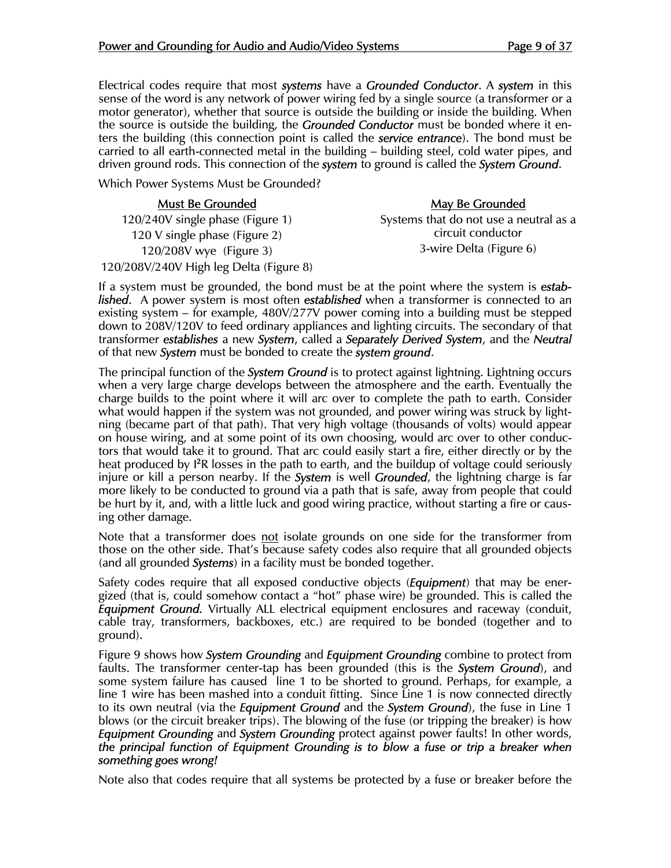Electrical codes require that most *systems* have a *Grounded Conductor*. A *system* in this sense of the word is any network of power wiring fed by a single source (a transformer or a motor generator), whether that source is outside the building or inside the building. When the source is outside the building, the *Grounded Conductor* must be bonded where it enters the building (this connection point is called the *service entrance*). The bond must be carried to all earth-connected metal in the building – building steel, cold water pipes, and driven ground rods. This connection of the *system* to ground is called the *System Ground*.

Which Power Systems Must be Grounded?

| <b>Must Be Grounded</b>                                                                    | <b>May Be Grounded</b>                 |
|--------------------------------------------------------------------------------------------|----------------------------------------|
| 120/240V single phase (Figure 1)                                                           | Systems that do not use a neutral as a |
| 120 V single phase (Figure 2)                                                              | circuit conductor                      |
| 120/208V wye (Figure 3)                                                                    | 3-wire Delta (Figure 6)                |
| 120/208V/240V High leg Delta (Figure 8)                                                    |                                        |
| f a system must be grounded the bond must be at the point where the system is <b>ostab</b> |                                        |

If a system must be grounded, the bond must be at the point where the system is *established*. A power system is most often *established* when a transformer is connected to an existing system – for example, 480V/277V power coming into a building must be stepped down to 208V/120V to feed ordinary appliances and lighting circuits. The secondary of that transformer *establishes* a new *System*, called a *Separately Derived System*, and the *Neutral*  of that new *System* must be bonded to create the *system ground*.

The principal function of the *System Ground* is to protect against lightning. Lightning occurs when a very large charge develops between the atmosphere and the earth. Eventually the charge builds to the point where it will arc over to complete the path to earth. Consider what would happen if the system was not grounded, and power wiring was struck by lightning (became part of that path). That very high voltage (thousands of volts) would appear on house wiring, and at some point of its own choosing, would arc over to other conductors that would take it to ground. That arc could easily start a fire, either directly or by the heat produced by <sup>12</sup>R losses in the path to earth, and the buildup of voltage could seriously injure or kill a person nearby. If the *System* is well *Grounded*, the lightning charge is far more likely to be conducted to ground via a path that is safe, away from people that could be hurt by it, and, with a little luck and good wiring practice, without starting a fire or causing other damage.

Note that a transformer does not isolate grounds on one side for the transformer from those on the other side. That's because safety codes also require that all grounded objects (and all grounded *Systems*) in a facility must be bonded together.

Safety codes require that all exposed conductive objects (*Equipment*) that may be energized (that is, could somehow contact a "hot" phase wire) be grounded. This is called the *Equipment Ground.* Virtually ALL electrical equipment enclosures and raceway (conduit, cable tray, transformers, backboxes, etc.) are required to be bonded (together and to ground).

Figure 9 shows how *System Grounding* and *Equipment Grounding* combine to protect from faults. The transformer center-tap has been grounded (this is the *System Ground*), and some system failure has caused line 1 to be shorted to ground. Perhaps, for example, a line 1 wire has been mashed into a conduit fitting. Since Line 1 is now connected directly to its own neutral (via the *Equipment Ground* and the *System Ground*), the fuse in Line 1 blows (or the circuit breaker trips). The blowing of the fuse (or tripping the breaker) is how *Equipment Grounding* and *System Grounding* protect against power faults! In other words, *the principal function of Equipment Grounding is to blow a fuse or trip a breaker when something goes wrong!*

Note also that codes require that all systems be protected by a fuse or breaker before the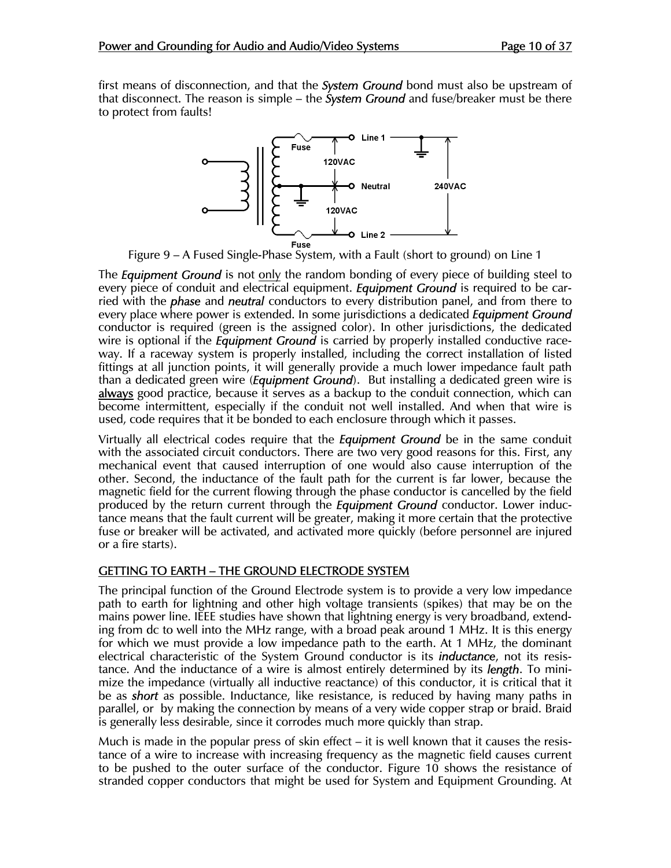first means of disconnection, and that the *System Ground* bond must also be upstream of that disconnect. The reason is simple – the *System Ground* and fuse/breaker must be there to protect from faults!



Figure 9 – A Fused Single-Phase System, with a Fault (short to ground) on Line 1

The *Equipment Ground* is not only the random bonding of every piece of building steel to every piece of conduit and electrical equipment. *Equipment Ground* is required to be carried with the *phase* and *neutral* conductors to every distribution panel, and from there to every place where power is extended. In some jurisdictions a dedicated *Equipment Ground* conductor is required (green is the assigned color). In other jurisdictions, the dedicated wire is optional if the *Equipment Ground* is carried by properly installed conductive raceway. If a raceway system is properly installed, including the correct installation of listed fittings at all junction points, it will generally provide a much lower impedance fault path than a dedicated green wire (*Equipment Ground*). But installing a dedicated green wire is always good practice, because it serves as a backup to the conduit connection, which can become intermittent, especially if the conduit not well installed. And when that wire is used, code requires that it be bonded to each enclosure through which it passes.

Virtually all electrical codes require that the *Equipment Ground* be in the same conduit with the associated circuit conductors. There are two very good reasons for this. First, any mechanical event that caused interruption of one would also cause interruption of the other. Second, the inductance of the fault path for the current is far lower, because the magnetic field for the current flowing through the phase conductor is cancelled by the field produced by the return current through the *Equipment Ground* conductor. Lower inductance means that the fault current will be greater, making it more certain that the protective fuse or breaker will be activated, and activated more quickly (before personnel are injured or a fire starts).

#### GETTING TO EARTH – THE GROUND ELECTRODE SYSTEM

The principal function of the Ground Electrode system is to provide a very low impedance path to earth for lightning and other high voltage transients (spikes) that may be on the mains power line. IEEE studies have shown that lightning energy is very broadband, extending from dc to well into the MHz range, with a broad peak around 1 MHz. It is this energy for which we must provide a low impedance path to the earth. At 1 MHz, the dominant electrical characteristic of the System Ground conductor is its *inductance*, not its resistance. And the inductance of a wire is almost entirely determined by its *length*. To minimize the impedance (virtually all inductive reactance) of this conductor, it is critical that it be as *short* as possible. Inductance, like resistance, is reduced by having many paths in parallel, or by making the connection by means of a very wide copper strap or braid. Braid is generally less desirable, since it corrodes much more quickly than strap.

Much is made in the popular press of skin effect  $-$  it is well known that it causes the resistance of a wire to increase with increasing frequency as the magnetic field causes current to be pushed to the outer surface of the conductor. Figure 10 shows the resistance of stranded copper conductors that might be used for System and Equipment Grounding. At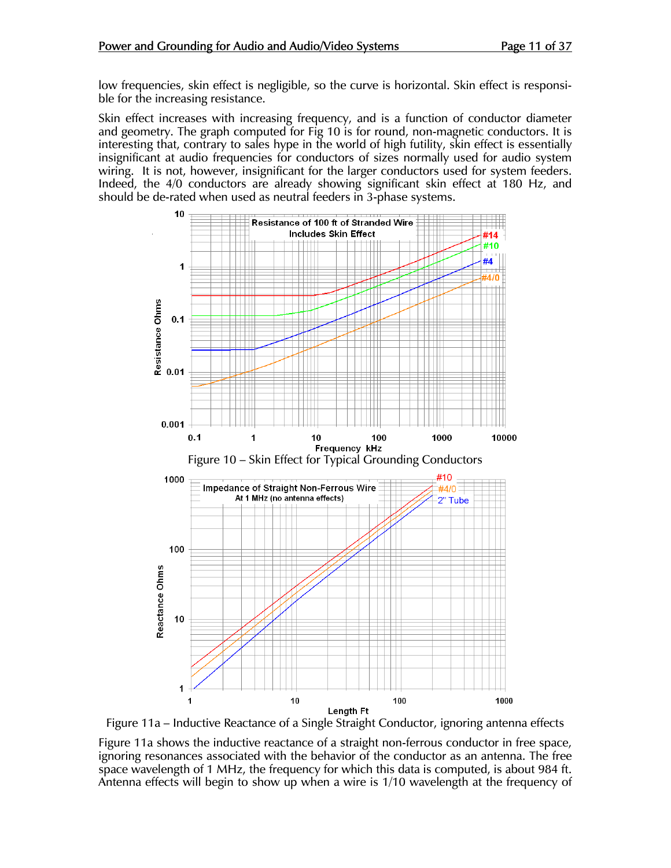low frequencies, skin effect is negligible, so the curve is horizontal. Skin effect is responsible for the increasing resistance.

Skin effect increases with increasing frequency, and is a function of conductor diameter and geometry. The graph computed for Fig 10 is for round, non-magnetic conductors. It is interesting that, contrary to sales hype in the world of high futility, skin effect is essentially insignificant at audio frequencies for conductors of sizes normally used for audio system wiring. It is not, however, insignificant for the larger conductors used for system feeders. Indeed, the 4/0 conductors are already showing significant skin effect at 180 Hz, and should be de-rated when used as neutral feeders in 3-phase systems.



Figure 11a – Inductive Reactance of a Single Straight Conductor, ignoring antenna effects

Figure 11a shows the inductive reactance of a straight non-ferrous conductor in free space, ignoring resonances associated with the behavior of the conductor as an antenna. The free space wavelength of 1 MHz, the frequency for which this data is computed, is about 984 ft. Antenna effects will begin to show up when a wire is 1/10 wavelength at the frequency of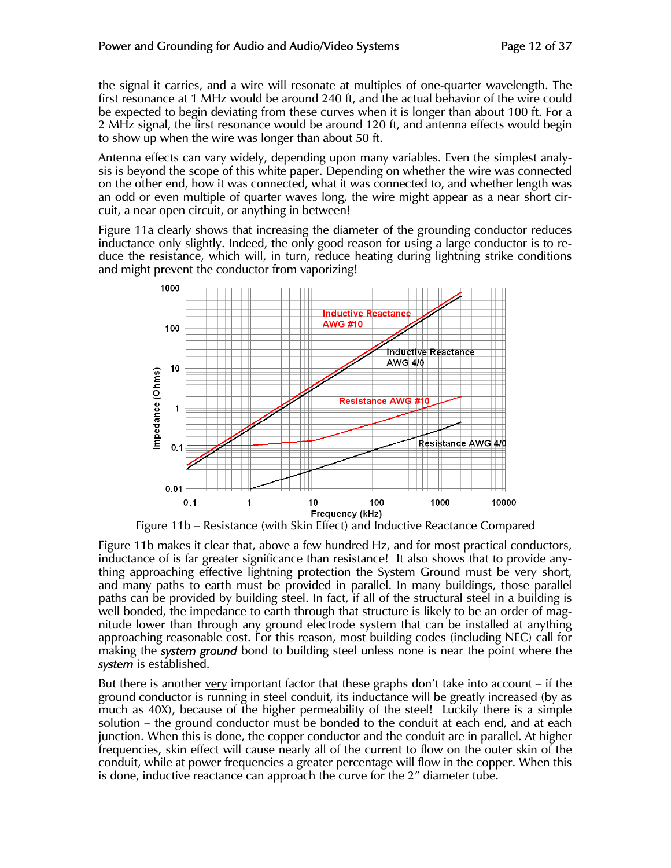the signal it carries, and a wire will resonate at multiples of one-quarter wavelength. The first resonance at 1 MHz would be around 240 ft, and the actual behavior of the wire could be expected to begin deviating from these curves when it is longer than about 100 ft. For a 2 MHz signal, the first resonance would be around 120 ft, and antenna effects would begin to show up when the wire was longer than about 50 ft.

Antenna effects can vary widely, depending upon many variables. Even the simplest analysis is beyond the scope of this white paper. Depending on whether the wire was connected on the other end, how it was connected, what it was connected to, and whether length was an odd or even multiple of quarter waves long, the wire might appear as a near short circuit, a near open circuit, or anything in between!

Figure 11a clearly shows that increasing the diameter of the grounding conductor reduces inductance only slightly. Indeed, the only good reason for using a large conductor is to reduce the resistance, which will, in turn, reduce heating during lightning strike conditions and might prevent the conductor from vaporizing!



Figure 11b – Resistance (with Skin Effect) and Inductive Reactance Compared

Figure 11b makes it clear that, above a few hundred Hz, and for most practical conductors, inductance of is far greater significance than resistance! It also shows that to provide anything approaching effective lightning protection the System Ground must be very short, and many paths to earth must be provided in parallel. In many buildings, those parallel paths can be provided by building steel. In fact, if all of the structural steel in a building is well bonded, the impedance to earth through that structure is likely to be an order of magnitude lower than through any ground electrode system that can be installed at anything approaching reasonable cost. For this reason, most building codes (including NEC) call for making the *system ground* bond to building steel unless none is near the point where the *system* is established.

But there is another very important factor that these graphs don't take into account – if the ground conductor is running in steel conduit, its inductance will be greatly increased (by as much as 40X), because of the higher permeability of the steel! Luckily there is a simple solution – the ground conductor must be bonded to the conduit at each end, and at each junction. When this is done, the copper conductor and the conduit are in parallel. At higher frequencies, skin effect will cause nearly all of the current to flow on the outer skin of the conduit, while at power frequencies a greater percentage will flow in the copper. When this is done, inductive reactance can approach the curve for the 2" diameter tube.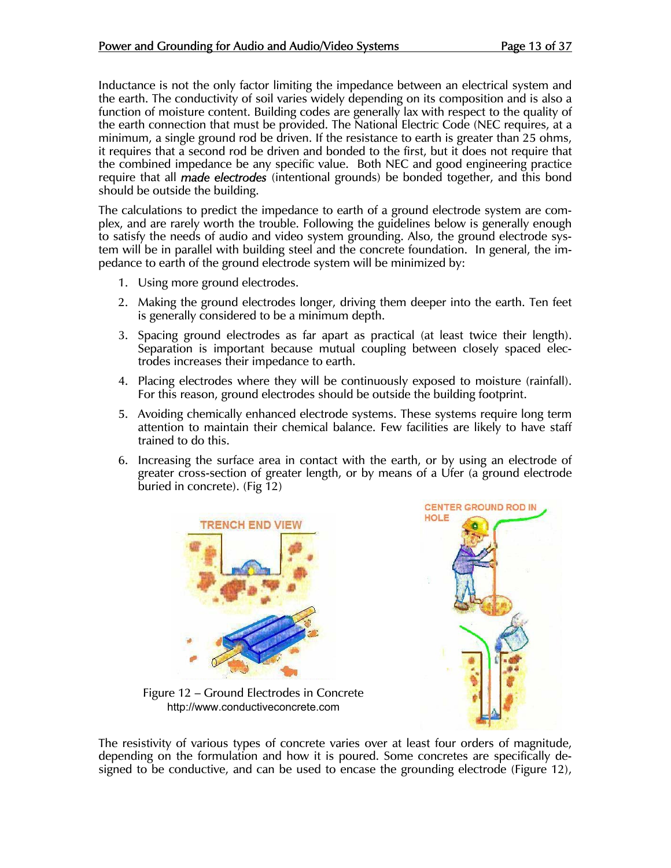Inductance is not the only factor limiting the impedance between an electrical system and the earth. The conductivity of soil varies widely depending on its composition and is also a function of moisture content. Building codes are generally lax with respect to the quality of the earth connection that must be provided. The National Electric Code (NEC requires, at a minimum, a single ground rod be driven. If the resistance to earth is greater than 25 ohms, it requires that a second rod be driven and bonded to the first, but it does not require that the combined impedance be any specific value. Both NEC and good engineering practice require that all *made electrodes* (intentional grounds) be bonded together, and this bond should be outside the building.

The calculations to predict the impedance to earth of a ground electrode system are complex, and are rarely worth the trouble. Following the guidelines below is generally enough to satisfy the needs of audio and video system grounding. Also, the ground electrode system will be in parallel with building steel and the concrete foundation. In general, the impedance to earth of the ground electrode system will be minimized by:

- 1. Using more ground electrodes.
- 2. Making the ground electrodes longer, driving them deeper into the earth. Ten feet is generally considered to be a minimum depth.
- 3. Spacing ground electrodes as far apart as practical (at least twice their length). Separation is important because mutual coupling between closely spaced electrodes increases their impedance to earth.
- 4. Placing electrodes where they will be continuously exposed to moisture (rainfall). For this reason, ground electrodes should be outside the building footprint.
- 5. Avoiding chemically enhanced electrode systems. These systems require long term attention to maintain their chemical balance. Few facilities are likely to have staff trained to do this.
- 6. Increasing the surface area in contact with the earth, or by using an electrode of greater cross-section of greater length, or by means of a Ufer (a ground electrode buried in concrete). (Fig 12)





Figure 12 – Ground Electrodes in Concrete http://www.conductiveconcrete.com

The resistivity of various types of concrete varies over at least four orders of magnitude, depending on the formulation and how it is poured. Some concretes are specifically designed to be conductive, and can be used to encase the grounding electrode (Figure 12),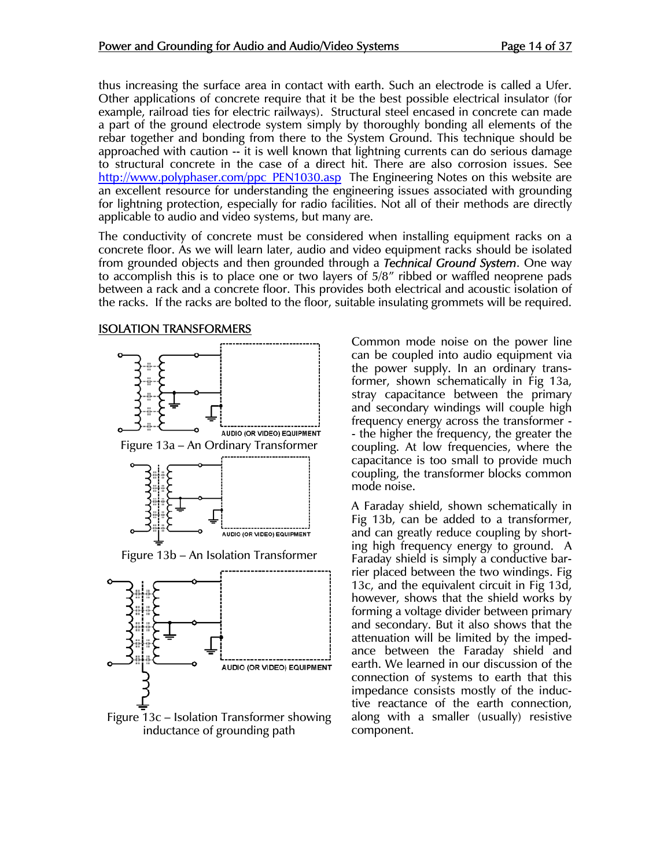thus increasing the surface area in contact with earth. Such an electrode is called a Ufer. Other applications of concrete require that it be the best possible electrical insulator (for example, railroad ties for electric railways). Structural steel encased in concrete can made a part of the ground electrode system simply by thoroughly bonding all elements of the rebar together and bonding from there to the System Ground. This technique should be approached with caution -- it is well known that lightning currents can do serious damage to structural concrete in the case of a direct hit. There are also corrosion issues. See http://www.polyphaser.com/ppc\_PEN1030.asp The Engineering Notes on this website are an excellent resource for understanding the engineering issues associated with grounding for lightning protection, especially for radio facilities. Not all of their methods are directly applicable to audio and video systems, but many are.

The conductivity of concrete must be considered when installing equipment racks on a concrete floor. As we will learn later, audio and video equipment racks should be isolated from grounded objects and then grounded through a *Technical Ground System*. One way to accomplish this is to place one or two layers of 5/8" ribbed or waffled neoprene pads between a rack and a concrete floor. This provides both electrical and acoustic isolation of the racks. If the racks are bolted to the floor, suitable insulating grommets will be required.

#### ISOLATION TRANSFORMERS



Figure 13c – Isolation Transformer showing inductance of grounding path

Common mode noise on the power line can be coupled into audio equipment via the power supply. In an ordinary transformer, shown schematically in Fig 13a, stray capacitance between the primary and secondary windings will couple high frequency energy across the transformer - - the higher the frequency, the greater the coupling. At low frequencies, where the capacitance is too small to provide much coupling, the transformer blocks common mode noise.

A Faraday shield, shown schematically in Fig 13b, can be added to a transformer, and can greatly reduce coupling by shorting high frequency energy to ground. A Faraday shield is simply a conductive barrier placed between the two windings. Fig 13c, and the equivalent circuit in Fig 13d, however, shows that the shield works by forming a voltage divider between primary and secondary. But it also shows that the attenuation will be limited by the impedance between the Faraday shield and earth. We learned in our discussion of the connection of systems to earth that this impedance consists mostly of the inductive reactance of the earth connection, along with a smaller (usually) resistive component.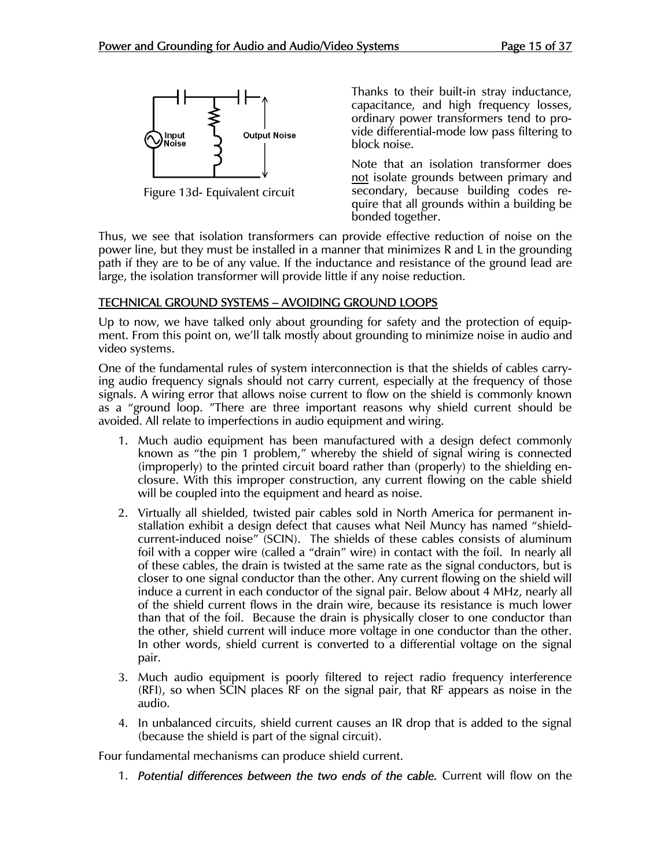

Figure 13d- Equivalent circuit

Thanks to their built-in stray inductance, capacitance, and high frequency losses, ordinary power transformers tend to provide differential-mode low pass filtering to block noise.

Note that an isolation transformer does not isolate grounds between primary and secondary, because building codes require that all grounds within a building be bonded together.

Thus, we see that isolation transformers can provide effective reduction of noise on the power line, but they must be installed in a manner that minimizes R and L in the grounding path if they are to be of any value. If the inductance and resistance of the ground lead are large, the isolation transformer will provide little if any noise reduction.

#### TECHNICAL GROUND SYSTEMS – AVOIDING GROUND LOOPS

Up to now, we have talked only about grounding for safety and the protection of equipment. From this point on, we'll talk mostly about grounding to minimize noise in audio and video systems.

One of the fundamental rules of system interconnection is that the shields of cables carrying audio frequency signals should not carry current, especially at the frequency of those signals. A wiring error that allows noise current to flow on the shield is commonly known as a "ground loop. "There are three important reasons why shield current should be avoided. All relate to imperfections in audio equipment and wiring.

- 1. Much audio equipment has been manufactured with a design defect commonly known as "the pin 1 problem," whereby the shield of signal wiring is connected (improperly) to the printed circuit board rather than (properly) to the shielding enclosure. With this improper construction, any current flowing on the cable shield will be coupled into the equipment and heard as noise.
- 2. Virtually all shielded, twisted pair cables sold in North America for permanent installation exhibit a design defect that causes what Neil Muncy has named "shieldcurrent-induced noise" (SCIN). The shields of these cables consists of aluminum foil with a copper wire (called a "drain" wire) in contact with the foil. In nearly all of these cables, the drain is twisted at the same rate as the signal conductors, but is closer to one signal conductor than the other. Any current flowing on the shield will induce a current in each conductor of the signal pair. Below about 4 MHz, nearly all of the shield current flows in the drain wire, because its resistance is much lower than that of the foil. Because the drain is physically closer to one conductor than the other, shield current will induce more voltage in one conductor than the other. In other words, shield current is converted to a differential voltage on the signal pair.
- 3. Much audio equipment is poorly filtered to reject radio frequency interference (RFI), so when SCIN places RF on the signal pair, that RF appears as noise in the audio.
- 4. In unbalanced circuits, shield current causes an IR drop that is added to the signal (because the shield is part of the signal circuit).

Four fundamental mechanisms can produce shield current.

1. *Potential differences between the two ends of the cable.* Current will flow on the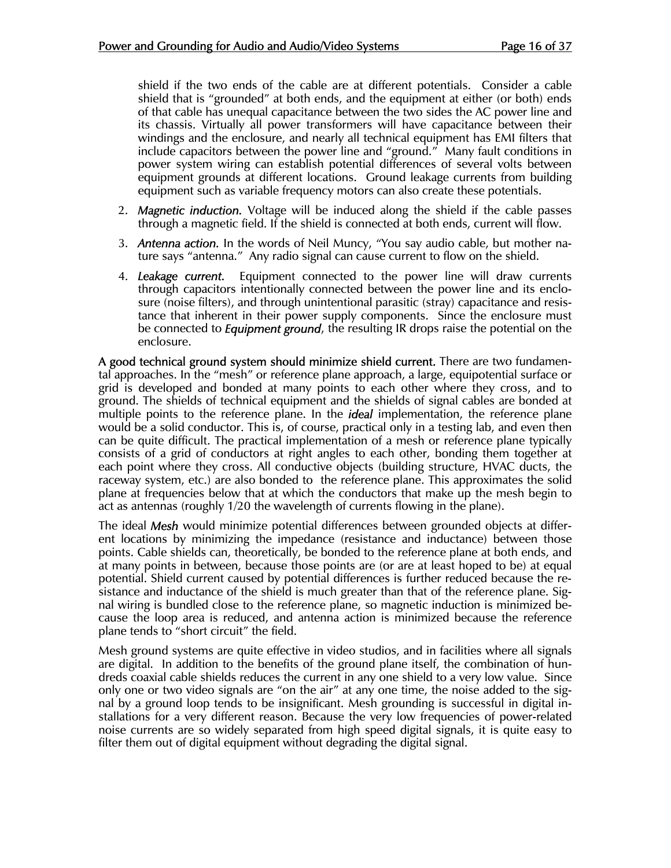shield if the two ends of the cable are at different potentials. Consider a cable shield that is "grounded" at both ends, and the equipment at either (or both) ends of that cable has unequal capacitance between the two sides the AC power line and its chassis. Virtually all power transformers will have capacitance between their windings and the enclosure, and nearly all technical equipment has EMI filters that include capacitors between the power line and "ground." Many fault conditions in power system wiring can establish potential differences of several volts between equipment grounds at different locations. Ground leakage currents from building equipment such as variable frequency motors can also create these potentials.

- 2. *Magnetic induction.* Voltage will be induced along the shield if the cable passes through a magnetic field. If the shield is connected at both ends, current will flow.
- 3. *Antenna action.* In the words of Neil Muncy, "You say audio cable, but mother nature says "antenna." Any radio signal can cause current to flow on the shield.
- 4. *Leakage current.* Equipment connected to the power line will draw currents through capacitors intentionally connected between the power line and its enclosure (noise filters), and through unintentional parasitic (stray) capacitance and resistance that inherent in their power supply components. Since the enclosure must be connected to *Equipment ground*, the resulting IR drops raise the potential on the enclosure.

A good technical ground system should minimize shield current. There are two fundamental approaches. In the "mesh" or reference plane approach, a large, equipotential surface or grid is developed and bonded at many points to each other where they cross, and to ground. The shields of technical equipment and the shields of signal cables are bonded at multiple points to the reference plane. In the *ideal* implementation, the reference plane would be a solid conductor. This is, of course, practical only in a testing lab, and even then can be quite difficult. The practical implementation of a mesh or reference plane typically consists of a grid of conductors at right angles to each other, bonding them together at each point where they cross. All conductive objects (building structure, HVAC ducts, the raceway system, etc.) are also bonded to the reference plane. This approximates the solid plane at frequencies below that at which the conductors that make up the mesh begin to act as antennas (roughly 1/20 the wavelength of currents flowing in the plane).

The ideal *Mesh* would minimize potential differences between grounded objects at different locations by minimizing the impedance (resistance and inductance) between those points. Cable shields can, theoretically, be bonded to the reference plane at both ends, and at many points in between, because those points are (or are at least hoped to be) at equal potential. Shield current caused by potential differences is further reduced because the resistance and inductance of the shield is much greater than that of the reference plane. Signal wiring is bundled close to the reference plane, so magnetic induction is minimized because the loop area is reduced, and antenna action is minimized because the reference plane tends to "short circuit" the field.

Mesh ground systems are quite effective in video studios, and in facilities where all signals are digital. In addition to the benefits of the ground plane itself, the combination of hundreds coaxial cable shields reduces the current in any one shield to a very low value. Since only one or two video signals are "on the air" at any one time, the noise added to the signal by a ground loop tends to be insignificant. Mesh grounding is successful in digital installations for a very different reason. Because the very low frequencies of power-related noise currents are so widely separated from high speed digital signals, it is quite easy to filter them out of digital equipment without degrading the digital signal.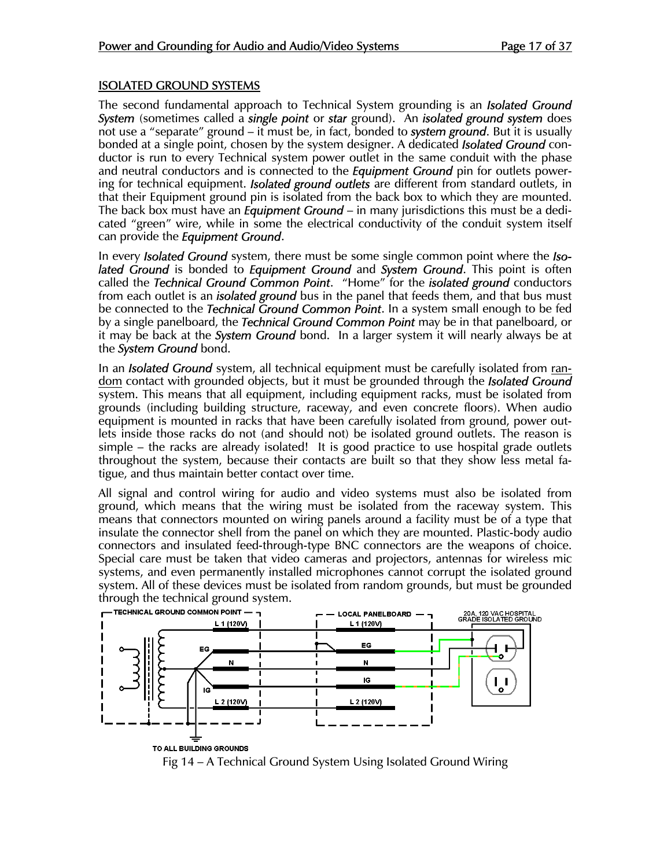#### ISOLATED GROUND SYSTEMS

The second fundamental approach to Technical System grounding is an *Isolated Ground System* (sometimes called a *single point* or *star* ground). An *isolated ground system* does not use a "separate" ground – it must be, in fact, bonded to *system ground*. But it is usually bonded at a single point, chosen by the system designer. A dedicated *Isolated Ground* conductor is run to every Technical system power outlet in the same conduit with the phase and neutral conductors and is connected to the *Equipment Ground* pin for outlets powering for technical equipment. *Isolated ground outlets* are different from standard outlets, in that their Equipment ground pin is isolated from the back box to which they are mounted. The back box must have an *Equipment Ground* – in many jurisdictions this must be a dedicated "green" wire, while in some the electrical conductivity of the conduit system itself can provide the *Equipment Ground*.

In every *Isolated Ground* system, there must be some single common point where the *Isolated Ground* is bonded to *Equipment Ground* and *System Ground*. This point is often called the *Technical Ground Common Point*. "Home" for the *isolated ground* conductors from each outlet is an *isolated ground* bus in the panel that feeds them, and that bus must be connected to the *Technical Ground Common Point*. In a system small enough to be fed by a single panelboard, the *Technical Ground Common Point* may be in that panelboard, or it may be back at the *System Ground* bond. In a larger system it will nearly always be at the *System Ground* bond.

In an *Isolated Ground* system, all technical equipment must be carefully isolated from random contact with grounded objects, but it must be grounded through the *Isolated Ground*  system. This means that all equipment, including equipment racks, must be isolated from grounds (including building structure, raceway, and even concrete floors). When audio equipment is mounted in racks that have been carefully isolated from ground, power outlets inside those racks do not (and should not) be isolated ground outlets. The reason is simple – the racks are already isolated! It is good practice to use hospital grade outlets throughout the system, because their contacts are built so that they show less metal fatigue, and thus maintain better contact over time.

All signal and control wiring for audio and video systems must also be isolated from ground, which means that the wiring must be isolated from the raceway system. This means that connectors mounted on wiring panels around a facility must be of a type that insulate the connector shell from the panel on which they are mounted. Plastic-body audio connectors and insulated feed-through-type BNC connectors are the weapons of choice. Special care must be taken that video cameras and projectors, antennas for wireless mic systems, and even permanently installed microphones cannot corrupt the isolated ground system. All of these devices must be isolated from random grounds, but must be grounded through the technical ground system.<br> $\leftarrow$  теснысац ground common point  $\rightarrow$ 



Fig 14 – A Technical Ground System Using Isolated Ground Wiring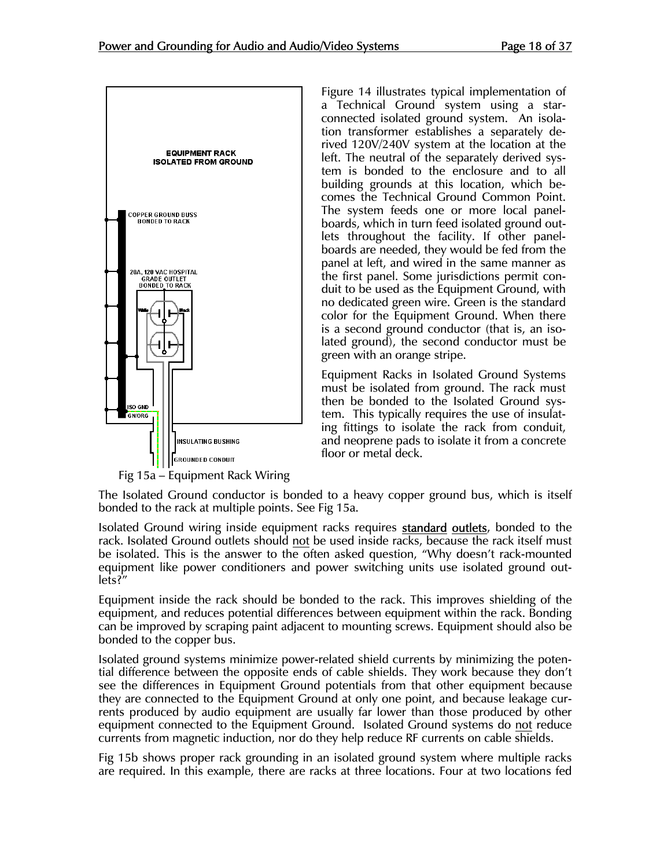

Fig 15a – Equipment Rack Wiring

Figure 14 illustrates typical implementation of a Technical Ground system using a starconnected isolated ground system. An isolation transformer establishes a separately derived 120V/240V system at the location at the left. The neutral of the separately derived system is bonded to the enclosure and to all building grounds at this location, which becomes the Technical Ground Common Point. The system feeds one or more local panelboards, which in turn feed isolated ground outlets throughout the facility. If other panelboards are needed, they would be fed from the panel at left, and wired in the same manner as the first panel. Some jurisdictions permit conduit to be used as the Equipment Ground, with no dedicated green wire. Green is the standard color for the Equipment Ground. When there is a second ground conductor (that is, an isolated ground), the second conductor must be green with an orange stripe.

Equipment Racks in Isolated Ground Systems must be isolated from ground. The rack must then be bonded to the Isolated Ground system. This typically requires the use of insulating fittings to isolate the rack from conduit, and neoprene pads to isolate it from a concrete floor or metal deck.

The Isolated Ground conductor is bonded to a heavy copper ground bus, which is itself bonded to the rack at multiple points. See Fig 15a.

Isolated Ground wiring inside equipment racks requires **standard outlets**, bonded to the rack. Isolated Ground outlets should not be used inside racks, because the rack itself must be isolated. This is the answer to the often asked question, "Why doesn't rack-mounted equipment like power conditioners and power switching units use isolated ground outlets?"

Equipment inside the rack should be bonded to the rack. This improves shielding of the equipment, and reduces potential differences between equipment within the rack. Bonding can be improved by scraping paint adjacent to mounting screws. Equipment should also be bonded to the copper bus.

Isolated ground systems minimize power-related shield currents by minimizing the potential difference between the opposite ends of cable shields. They work because they don't see the differences in Equipment Ground potentials from that other equipment because they are connected to the Equipment Ground at only one point, and because leakage currents produced by audio equipment are usually far lower than those produced by other equipment connected to the Equipment Ground. Isolated Ground systems do not reduce currents from magnetic induction, nor do they help reduce RF currents on cable shields.

Fig 15b shows proper rack grounding in an isolated ground system where multiple racks are required. In this example, there are racks at three locations. Four at two locations fed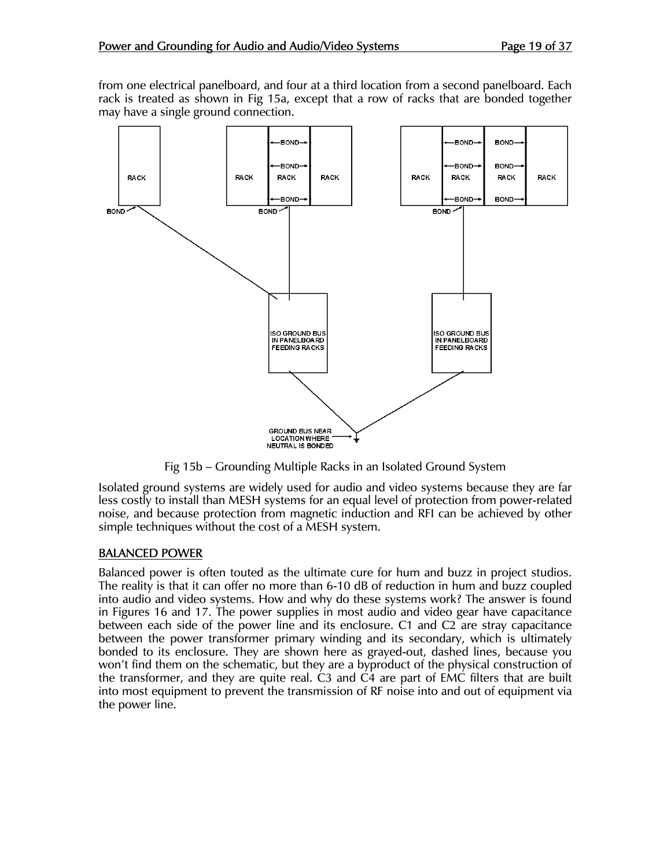from one electrical panelboard, and four at a third location from a second panelboard. Each rack is treated as shown in Fig 15a, except that a row of racks that are bonded together may have a single ground connection.



Fig 15b – Grounding Multiple Racks in an Isolated Ground System

Isolated ground systems are widely used for audio and video systems because they are far less costly to install than MESH systems for an equal level of protection from power-related noise, and because protection from magnetic induction and RFI can be achieved by other simple techniques without the cost of a MESH system.

#### BALANCED POWER

Balanced power is often touted as the ultimate cure for hum and buzz in project studios. The reality is that it can offer no more than 6-10 dB of reduction in hum and buzz coupled into audio and video systems. How and why do these systems work? The answer is found in Figures 16 and 17. The power supplies in most audio and video gear have capacitance between each side of the power line and its enclosure. C1 and C2 are stray capacitance between the power transformer primary winding and its secondary, which is ultimately bonded to its enclosure. They are shown here as grayed-out, dashed lines, because you won't find them on the schematic, but they are a byproduct of the physical construction of the transformer, and they are quite real. C3 and C4 are part of EMC filters that are built into most equipment to prevent the transmission of RF noise into and out of equipment via the power line.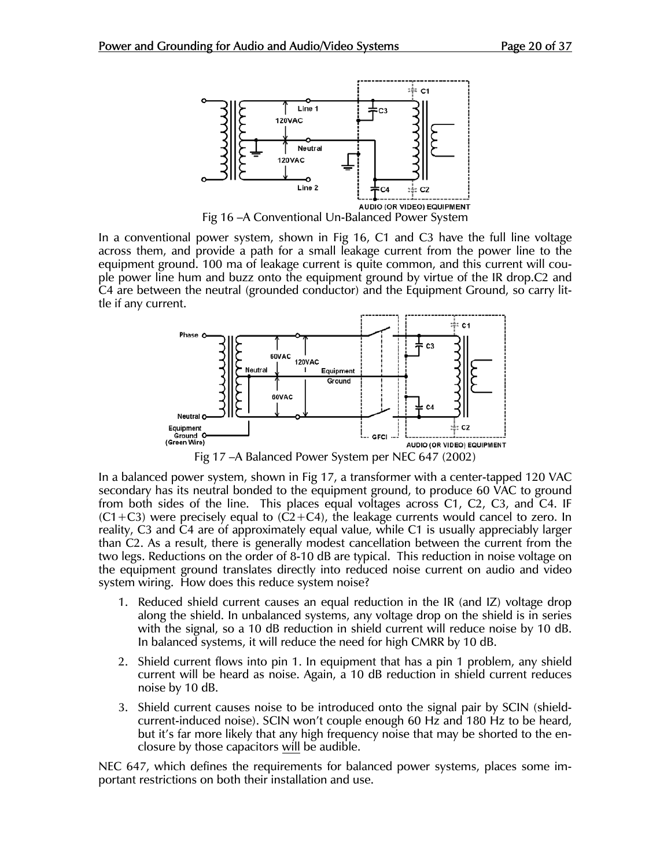

Fig 16 –A Conventional Un-Balanced Power System

In a conventional power system, shown in Fig 16, C1 and C3 have the full line voltage across them, and provide a path for a small leakage current from the power line to the equipment ground. 100 ma of leakage current is quite common, and this current will couple power line hum and buzz onto the equipment ground by virtue of the IR drop.C2 and C4 are between the neutral (grounded conductor) and the Equipment Ground, so carry little if any current.



Fig 17 –A Balanced Power System per NEC 647 (2002)

In a balanced power system, shown in Fig 17, a transformer with a center-tapped 120 VAC secondary has its neutral bonded to the equipment ground, to produce 60 VAC to ground from both sides of the line. This places equal voltages across C1, C2, C3, and C4. IF  $(C1+C3)$  were precisely equal to  $(C2+C4)$ , the leakage currents would cancel to zero. In reality, C3 and C4 are of approximately equal value, while C1 is usually appreciably larger than C2. As a result, there is generally modest cancellation between the current from the two legs. Reductions on the order of 8-10 dB are typical. This reduction in noise voltage on the equipment ground translates directly into reduced noise current on audio and video system wiring. How does this reduce system noise?

- 1. Reduced shield current causes an equal reduction in the IR (and IZ) voltage drop along the shield. In unbalanced systems, any voltage drop on the shield is in series with the signal, so a 10 dB reduction in shield current will reduce noise by 10 dB. In balanced systems, it will reduce the need for high CMRR by 10 dB.
- 2. Shield current flows into pin 1. In equipment that has a pin 1 problem, any shield current will be heard as noise. Again, a 10 dB reduction in shield current reduces noise by 10 dB.
- 3. Shield current causes noise to be introduced onto the signal pair by SCIN (shieldcurrent-induced noise). SCIN won't couple enough 60 Hz and 180 Hz to be heard, but it's far more likely that any high frequency noise that may be shorted to the enclosure by those capacitors will be audible.

NEC 647, which defines the requirements for balanced power systems, places some important restrictions on both their installation and use.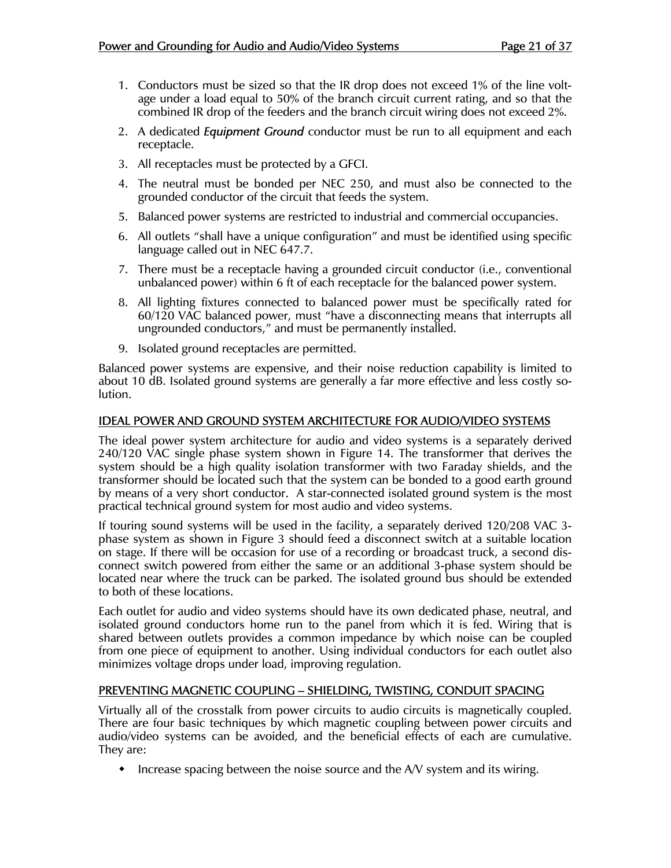- 1. Conductors must be sized so that the IR drop does not exceed 1% of the line voltage under a load equal to 50% of the branch circuit current rating, and so that the combined IR drop of the feeders and the branch circuit wiring does not exceed 2%.
- 2. A dedicated *Equipment Ground* conductor must be run to all equipment and each receptacle.
- 3. All receptacles must be protected by a GFCI.
- 4. The neutral must be bonded per NEC 250, and must also be connected to the grounded conductor of the circuit that feeds the system.
- 5. Balanced power systems are restricted to industrial and commercial occupancies.
- 6. All outlets "shall have a unique configuration" and must be identified using specific language called out in NEC 647.7.
- 7. There must be a receptacle having a grounded circuit conductor (i.e., conventional unbalanced power) within 6 ft of each receptacle for the balanced power system.
- 8. All lighting fixtures connected to balanced power must be specifically rated for 60/120 VAC balanced power, must "have a disconnecting means that interrupts all ungrounded conductors," and must be permanently installed.
- 9. Isolated ground receptacles are permitted.

Balanced power systems are expensive, and their noise reduction capability is limited to about 10 dB. Isolated ground systems are generally a far more effective and less costly solution.

#### IDEAL POWER AND GROUND SYSTEM ARCHITECTURE FOR AUDIO/VIDEO SYSTEMS

The ideal power system architecture for audio and video systems is a separately derived 240/120 VAC single phase system shown in Figure 14. The transformer that derives the system should be a high quality isolation transformer with two Faraday shields, and the transformer should be located such that the system can be bonded to a good earth ground by means of a very short conductor. A star-connected isolated ground system is the most practical technical ground system for most audio and video systems.

If touring sound systems will be used in the facility, a separately derived 120/208 VAC 3 phase system as shown in Figure 3 should feed a disconnect switch at a suitable location on stage. If there will be occasion for use of a recording or broadcast truck, a second disconnect switch powered from either the same or an additional 3-phase system should be located near where the truck can be parked. The isolated ground bus should be extended to both of these locations.

Each outlet for audio and video systems should have its own dedicated phase, neutral, and isolated ground conductors home run to the panel from which it is fed. Wiring that is shared between outlets provides a common impedance by which noise can be coupled from one piece of equipment to another. Using individual conductors for each outlet also minimizes voltage drops under load, improving regulation.

#### PREVENTING MAGNETIC COUPLING – SHIELDING, TWISTING, CONDUIT SPACING

Virtually all of the crosstalk from power circuits to audio circuits is magnetically coupled. There are four basic techniques by which magnetic coupling between power circuits and audio/video systems can be avoided, and the beneficial effects of each are cumulative. They are:

 $\bullet$  Increase spacing between the noise source and the A/V system and its wiring.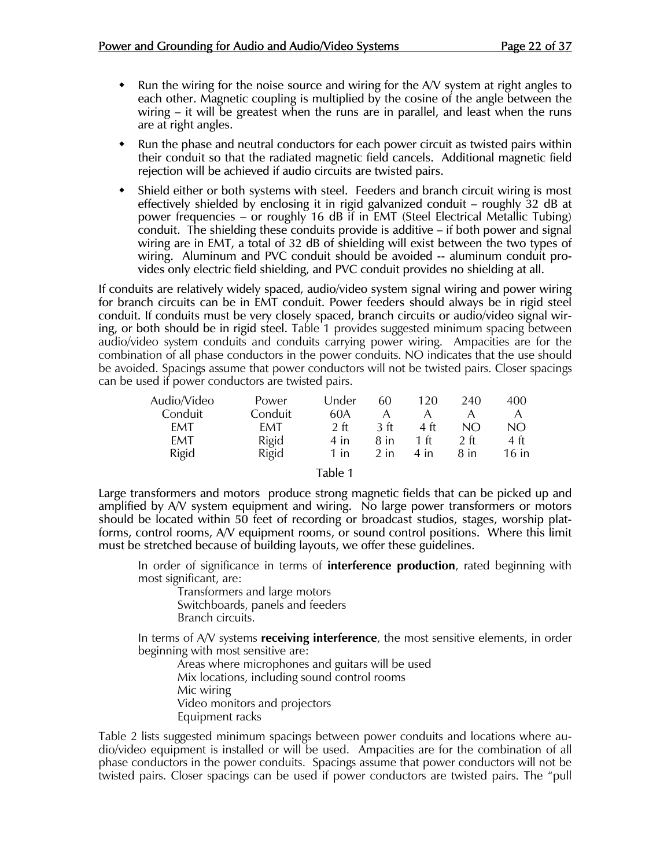- $\bullet$  Run the wiring for the noise source and wiring for the A/V system at right angles to each other. Magnetic coupling is multiplied by the cosine of the angle between the wiring – it will be greatest when the runs are in parallel, and least when the runs are at right angles.
- Run the phase and neutral conductors for each power circuit as twisted pairs within their conduit so that the radiated magnetic field cancels. Additional magnetic field rejection will be achieved if audio circuits are twisted pairs.
- Shield either or both systems with steel. Feeders and branch circuit wiring is most effectively shielded by enclosing it in rigid galvanized conduit – roughly 32 dB at power frequencies – or roughly 16 dB if in EMT (Steel Electrical Metallic Tubing) conduit. The shielding these conduits provide is additive – if both power and signal wiring are in EMT, a total of 32 dB of shielding will exist between the two types of wiring. Aluminum and PVC conduit should be avoided -- aluminum conduit provides only electric field shielding, and PVC conduit provides no shielding at all.

If conduits are relatively widely spaced, audio/video system signal wiring and power wiring for branch circuits can be in EMT conduit. Power feeders should always be in rigid steel conduit. If conduits must be very closely spaced, branch circuits or audio/video signal wiring, or both should be in rigid steel. Table 1 provides suggested minimum spacing between audio/video system conduits and conduits carrying power wiring. Ampacities are for the combination of all phase conductors in the power conduits. NO indicates that the use should be avoided. Spacings assume that power conductors will not be twisted pairs. Closer spacings can be used if power conductors are twisted pairs.

| Audio/Video | Power        | Under          | 60     | 120  | 240            | 400     |
|-------------|--------------|----------------|--------|------|----------------|---------|
| Conduit     | Conduit      | 60A            | Α      |      |                | А       |
| <b>FMT</b>  | FMT          | 2 <sub>f</sub> | 3 ft   | 4 ft | N()            | NO      |
| EMT         | <b>Rigid</b> | 4 in           | 8 in   | 1 ft | 2 <sub>f</sub> | 4 ft    |
| Rigid       | Rigid        | 1 in           | $2$ in | 4 in | 8 in           | $16$ in |

#### Table 1

Large transformers and motors produce strong magnetic fields that can be picked up and amplified by A/V system equipment and wiring. No large power transformers or motors should be located within 50 feet of recording or broadcast studios, stages, worship platforms, control rooms, A/V equipment rooms, or sound control positions. Where this limit must be stretched because of building layouts, we offer these guidelines.

 In order of significance in terms of **interference production**, rated beginning with most significant, are:

Transformers and large motors Switchboards, panels and feeders Branch circuits.

 In terms of A/V systems **receiving interference**, the most sensitive elements, in order beginning with most sensitive are:

Areas where microphones and guitars will be used Mix locations, including sound control rooms Mic wiring Video monitors and projectors Equipment racks

Table 2 lists suggested minimum spacings between power conduits and locations where audio/video equipment is installed or will be used. Ampacities are for the combination of all phase conductors in the power conduits. Spacings assume that power conductors will not be twisted pairs. Closer spacings can be used if power conductors are twisted pairs. The "pull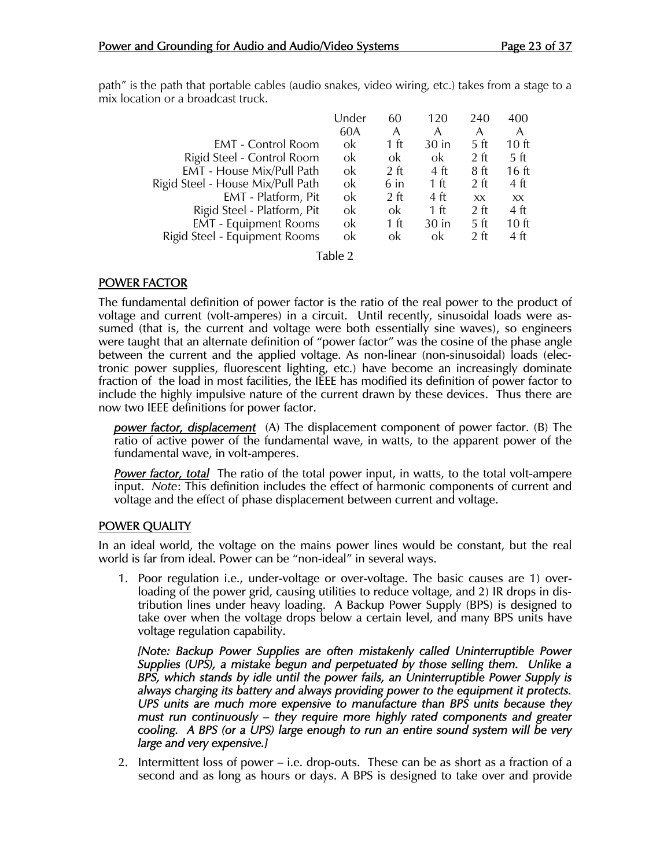path" is the path that portable cables (audio snakes, video wiring, etc.) takes from a stage to a mix location or a broadcast truck.

|                                   | Under | 60     | 120            | 240             | 400              |
|-----------------------------------|-------|--------|----------------|-----------------|------------------|
|                                   | 60A   | А      | А              | А               | А                |
| <b>EMT</b> - Control Room         | ok    | 1 ft   | $30$ in        | 5 ft            | 10 <sub>ft</sub> |
| Rigid Steel - Control Room        | ok    | ok     | ok             | 2 <sub>f</sub>  | 5 ft             |
| EMT - House Mix/Pull Path         | ok    | $2$ ft | 4 ft           | 8 ft            | 16 ft            |
| Rigid Steel - House Mix/Pull Path | ok    | 6 in   | $1 \text{ ft}$ | $2 \text{ ft}$  | 4 ft             |
| EMT - Platform, Pit               | ok    | $2$ ft | 4 ft           | XX.             | <b>XX</b>        |
| Rigid Steel - Platform, Pit       | ok    | ok     | 1 $ft$         | 2 <sub>f</sub>  | 4 ft             |
| <b>EMT</b> - Equipment Rooms      | ok    | 1 ft   | $30$ in        | 5 ft            | 10 <sub>ft</sub> |
| Rigid Steel - Equipment Rooms     | ok    | ok     | ok             | 2 <sub>tt</sub> | 4 ft             |

Table 2

#### POWER FACTOR

The fundamental definition of power factor is the ratio of the real power to the product of voltage and current (volt-amperes) in a circuit. Until recently, sinusoidal loads were assumed (that is, the current and voltage were both essentially sine waves), so engineers were taught that an alternate definition of "power factor" was the cosine of the phase angle between the current and the applied voltage. As non-linear (non-sinusoidal) loads (electronic power supplies, fluorescent lighting, etc.) have become an increasingly dominate fraction of the load in most facilities, the IEEE has modified its definition of power factor to include the highly impulsive nature of the current drawn by these devices. Thus there are now two IEEE definitions for power factor.

*power factor, displacement* (A) The displacement component of power factor. (B) The ratio of active power of the fundamental wave, in watts, to the apparent power of the fundamental wave, in volt-amperes.

*Power factor, total* The ratio of the total power input, in watts, to the total volt-ampere input. *Note*: This definition includes the effect of harmonic components of current and voltage and the effect of phase displacement between current and voltage.

#### POWER QUALITY

In an ideal world, the voltage on the mains power lines would be constant, but the real world is far from ideal. Power can be "non-ideal" in several ways.

1. Poor regulation i.e., under-voltage or over-voltage. The basic causes are 1) overloading of the power grid, causing utilities to reduce voltage, and 2) IR drops in distribution lines under heavy loading. A Backup Power Supply (BPS) is designed to take over when the voltage drops below a certain level, and many BPS units have voltage regulation capability.

*[Note: Backup Power Supplies are often mistakenly called Uninterruptible Power Supplies (UPS), a mistake begun and perpetuated by those selling them. Unlike a BPS, which stands by idle until the power fails, an Uninterruptible Power Supply is always charging its battery and always providing power to the equipment it protects. UPS units are much more expensive to manufacture than BPS units because they must run continuously – they require more highly rated components and greater cooling. A BPS (or a UPS) large enough to run an entire sound system will be very large and very expensive.]* 

2. Intermittent loss of power – i.e. drop-outs. These can be as short as a fraction of a second and as long as hours or days. A BPS is designed to take over and provide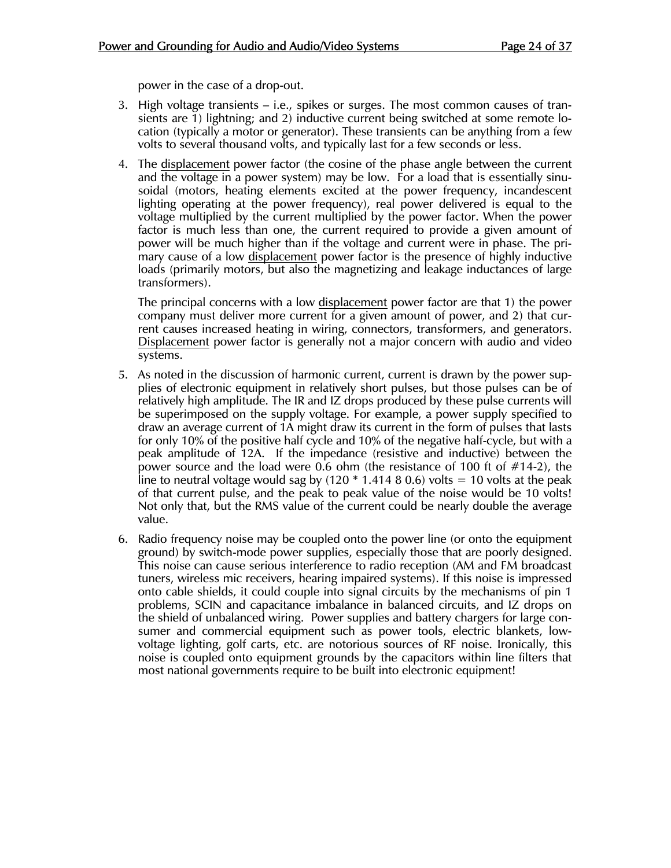power in the case of a drop-out.

- 3. High voltage transients i.e., spikes or surges. The most common causes of transients are 1) lightning; and 2) inductive current being switched at some remote location (typically a motor or generator). These transients can be anything from a few volts to several thousand volts, and typically last for a few seconds or less.
- 4. The displacement power factor (the cosine of the phase angle between the current and the voltage in a power system) may be low. For a load that is essentially sinusoidal (motors, heating elements excited at the power frequency, incandescent lighting operating at the power frequency), real power delivered is equal to the voltage multiplied by the current multiplied by the power factor. When the power factor is much less than one, the current required to provide a given amount of power will be much higher than if the voltage and current were in phase. The primary cause of a low displacement power factor is the presence of highly inductive loads (primarily motors, but also the magnetizing and leakage inductances of large transformers).

 The principal concerns with a low displacement power factor are that 1) the power company must deliver more current for a given amount of power, and 2) that current causes increased heating in wiring, connectors, transformers, and generators. Displacement power factor is generally not a major concern with audio and video systems.

- 5. As noted in the discussion of harmonic current, current is drawn by the power supplies of electronic equipment in relatively short pulses, but those pulses can be of relatively high amplitude. The IR and IZ drops produced by these pulse currents will be superimposed on the supply voltage. For example, a power supply specified to draw an average current of 1A might draw its current in the form of pulses that lasts for only 10% of the positive half cycle and 10% of the negative half-cycle, but with a peak amplitude of 12A. If the impedance (resistive and inductive) between the power source and the load were 0.6 ohm (the resistance of 100 ft of #14-2), the line to neutral voltage would sag by  $(120 * 1.414 8 0.6)$  volts = 10 volts at the peak of that current pulse, and the peak to peak value of the noise would be 10 volts! Not only that, but the RMS value of the current could be nearly double the average value.
- 6. Radio frequency noise may be coupled onto the power line (or onto the equipment ground) by switch-mode power supplies, especially those that are poorly designed. This noise can cause serious interference to radio reception (AM and FM broadcast tuners, wireless mic receivers, hearing impaired systems). If this noise is impressed onto cable shields, it could couple into signal circuits by the mechanisms of pin 1 problems, SCIN and capacitance imbalance in balanced circuits, and IZ drops on the shield of unbalanced wiring. Power supplies and battery chargers for large consumer and commercial equipment such as power tools, electric blankets, lowvoltage lighting, golf carts, etc. are notorious sources of RF noise. Ironically, this noise is coupled onto equipment grounds by the capacitors within line filters that most national governments require to be built into electronic equipment!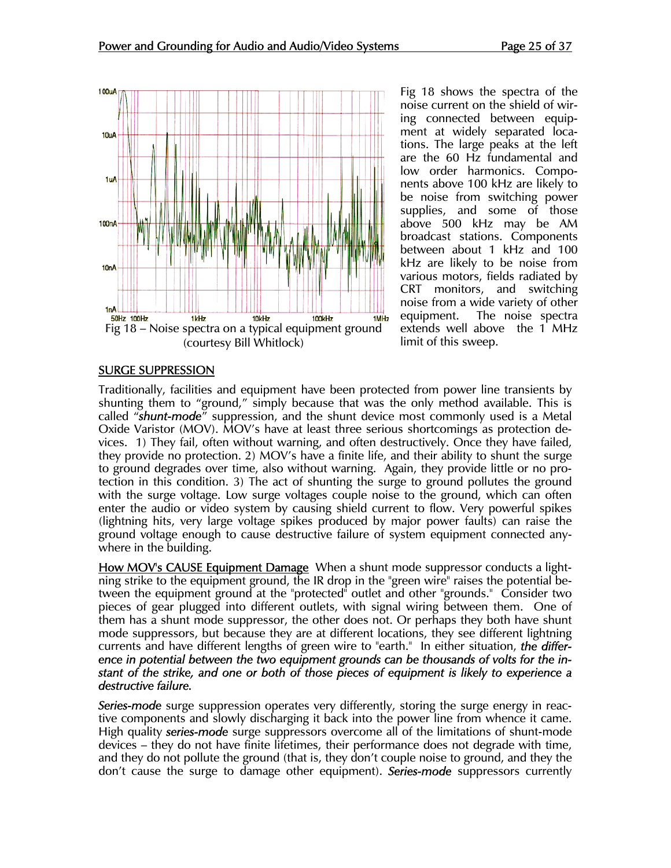

Fig 18 shows the spectra of the noise current on the shield of wiring connected between equipment at widely separated locations. The large peaks at the left are the 60 Hz fundamental and low order harmonics. Components above 100 kHz are likely to be noise from switching power supplies, and some of those above 500 kHz may be AM broadcast stations. Components between about 1 kHz and 100 kHz are likely to be noise from various motors, fields radiated by CRT monitors, and switching noise from a wide variety of other equipment. The noise spectra extends well above the 1 MHz limit of this sweep.

#### SURGE SUPPRESSION

Traditionally, facilities and equipment have been protected from power line transients by shunting them to "ground," simply because that was the only method available. This is called "*shunt-mode*" suppression, and the shunt device most commonly used is a Metal Oxide Varistor (MOV). MOV's have at least three serious shortcomings as protection devices. 1) They fail, often without warning, and often destructively. Once they have failed, they provide no protection. 2) MOV's have a finite life, and their ability to shunt the surge to ground degrades over time, also without warning. Again, they provide little or no protection in this condition. 3) The act of shunting the surge to ground pollutes the ground with the surge voltage. Low surge voltages couple noise to the ground, which can often enter the audio or video system by causing shield current to flow. Very powerful spikes (lightning hits, very large voltage spikes produced by major power faults) can raise the ground voltage enough to cause destructive failure of system equipment connected anywhere in the building.

How MOV's CAUSE Equipment Damage When a shunt mode suppressor conducts a lightning strike to the equipment ground, the IR drop in the "green wire" raises the potential between the equipment ground at the "protected" outlet and other "grounds." Consider two pieces of gear plugged into different outlets, with signal wiring between them. One of them has a shunt mode suppressor, the other does not. Or perhaps they both have shunt mode suppressors, but because they are at different locations, they see different lightning currents and have different lengths of green wire to "earth." In either situation, *the difference in potential between the two equipment grounds can be thousands of volts for the instant of the strike, and one or both of those pieces of equipment is likely to experience a destructive failure.*

*Series-mode* surge suppression operates very differently, storing the surge energy in reactive components and slowly discharging it back into the power line from whence it came. High quality *series-mode* surge suppressors overcome all of the limitations of shunt-mode devices – they do not have finite lifetimes, their performance does not degrade with time, and they do not pollute the ground (that is, they don't couple noise to ground, and they the don't cause the surge to damage other equipment). *Series-mode* suppressors currently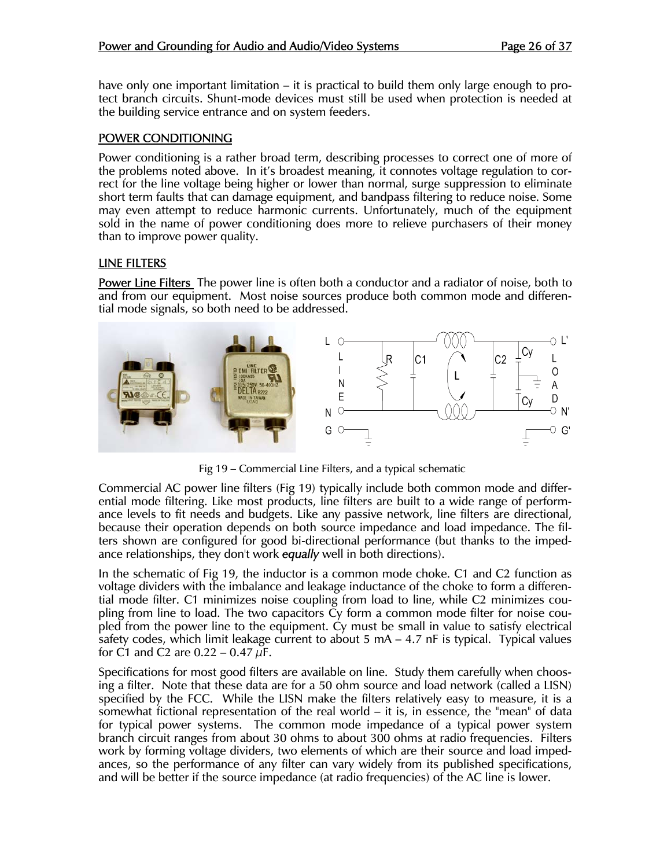have only one important limitation – it is practical to build them only large enough to protect branch circuits. Shunt-mode devices must still be used when protection is needed at the building service entrance and on system feeders.

#### POWER CONDITIONING

Power conditioning is a rather broad term, describing processes to correct one of more of the problems noted above. In it's broadest meaning, it connotes voltage regulation to correct for the line voltage being higher or lower than normal, surge suppression to eliminate short term faults that can damage equipment, and bandpass filtering to reduce noise. Some may even attempt to reduce harmonic currents. Unfortunately, much of the equipment sold in the name of power conditioning does more to relieve purchasers of their money than to improve power quality.

#### LINE FILTERS

**Power Line Filters** The power line is often both a conductor and a radiator of noise, both to and from our equipment. Most noise sources produce both common mode and differential mode signals, so both need to be addressed.



Fig 19 – Commercial Line Filters, and a typical schematic

Commercial AC power line filters (Fig 19) typically include both common mode and differential mode filtering. Like most products, line filters are built to a wide range of performance levels to fit needs and budgets. Like any passive network, line filters are directional, because their operation depends on both source impedance and load impedance. The filters shown are configured for good bi-directional performance (but thanks to the impedance relationships, they don't work *equally* well in both directions).

In the schematic of Fig 19, the inductor is a common mode choke. C1 and C2 function as voltage dividers with the imbalance and leakage inductance of the choke to form a differential mode filter. C1 minimizes noise coupling from load to line, while C2 minimizes coupling from line to load. The two capacitors Cy form a common mode filter for noise coupled from the power line to the equipment. Cy must be small in value to satisfy electrical safety codes, which limit leakage current to about  $5 \text{ mA} - 4.7 \text{ nF}$  is typical. Typical values for C1 and C2 are  $0.22 - 0.47 \mu F$ .

Specifications for most good filters are available on line. Study them carefully when choosing a filter. Note that these data are for a 50 ohm source and load network (called a LISN) specified by the FCC. While the LISN make the filters relatively easy to measure, it is a somewhat fictional representation of the real world – it is, in essence, the "mean" of data for typical power systems. The common mode impedance of a typical power system branch circuit ranges from about 30 ohms to about 300 ohms at radio frequencies. Filters work by forming voltage dividers, two elements of which are their source and load impedances, so the performance of any filter can vary widely from its published specifications, and will be better if the source impedance (at radio frequencies) of the AC line is lower.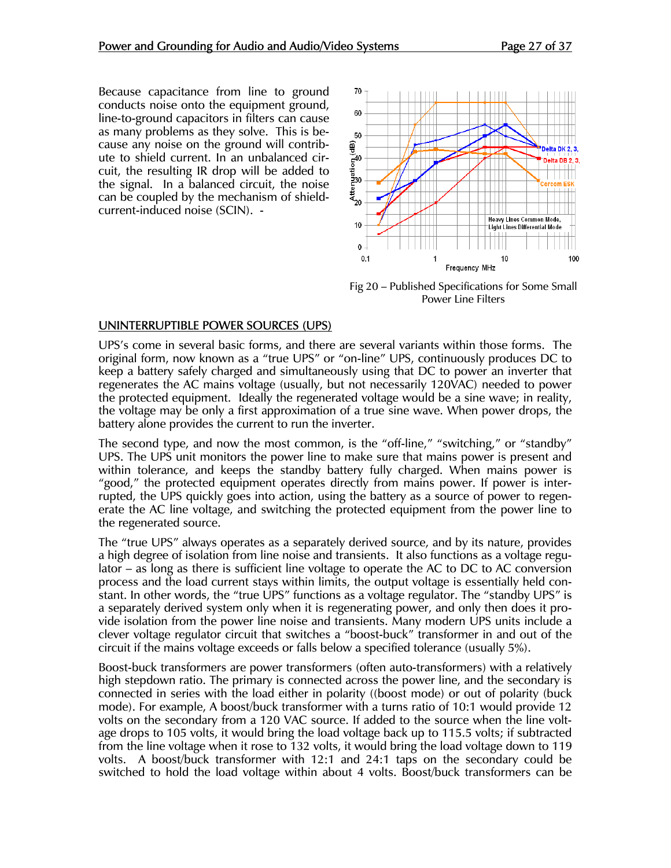Because capacitance from line to ground conducts noise onto the equipment ground, line-to-ground capacitors in filters can cause as many problems as they solve. This is because any noise on the ground will contribute to shield current. In an unbalanced circuit, the resulting IR drop will be added to the signal. In a balanced circuit, the noise can be coupled by the mechanism of shieldcurrent-induced noise (SCIN). -



Fig 20 – Published Specifications for Some Small Power Line Filters

#### UNINTERRUPTIBLE POWER SOURCES (UPS)

UPS's come in several basic forms, and there are several variants within those forms. The original form, now known as a "true UPS" or "on-line" UPS, continuously produces DC to keep a battery safely charged and simultaneously using that DC to power an inverter that regenerates the AC mains voltage (usually, but not necessarily 120VAC) needed to power the protected equipment. Ideally the regenerated voltage would be a sine wave; in reality, the voltage may be only a first approximation of a true sine wave. When power drops, the battery alone provides the current to run the inverter.

The second type, and now the most common, is the "off-line," "switching," or "standby" UPS. The UPS unit monitors the power line to make sure that mains power is present and within tolerance, and keeps the standby battery fully charged. When mains power is "good," the protected equipment operates directly from mains power. If power is interrupted, the UPS quickly goes into action, using the battery as a source of power to regenerate the AC line voltage, and switching the protected equipment from the power line to the regenerated source.

The "true UPS" always operates as a separately derived source, and by its nature, provides a high degree of isolation from line noise and transients. It also functions as a voltage regulator – as long as there is sufficient line voltage to operate the AC to DC to AC conversion process and the load current stays within limits, the output voltage is essentially held constant. In other words, the "true UPS" functions as a voltage regulator. The "standby UPS" is a separately derived system only when it is regenerating power, and only then does it provide isolation from the power line noise and transients. Many modern UPS units include a clever voltage regulator circuit that switches a "boost-buck" transformer in and out of the circuit if the mains voltage exceeds or falls below a specified tolerance (usually 5%).

Boost-buck transformers are power transformers (often auto-transformers) with a relatively high stepdown ratio. The primary is connected across the power line, and the secondary is connected in series with the load either in polarity ((boost mode) or out of polarity (buck mode). For example, A boost/buck transformer with a turns ratio of 10:1 would provide 12 volts on the secondary from a 120 VAC source. If added to the source when the line voltage drops to 105 volts, it would bring the load voltage back up to 115.5 volts; if subtracted from the line voltage when it rose to 132 volts, it would bring the load voltage down to 119 volts. A boost/buck transformer with 12:1 and 24:1 taps on the secondary could be switched to hold the load voltage within about 4 volts. Boost/buck transformers can be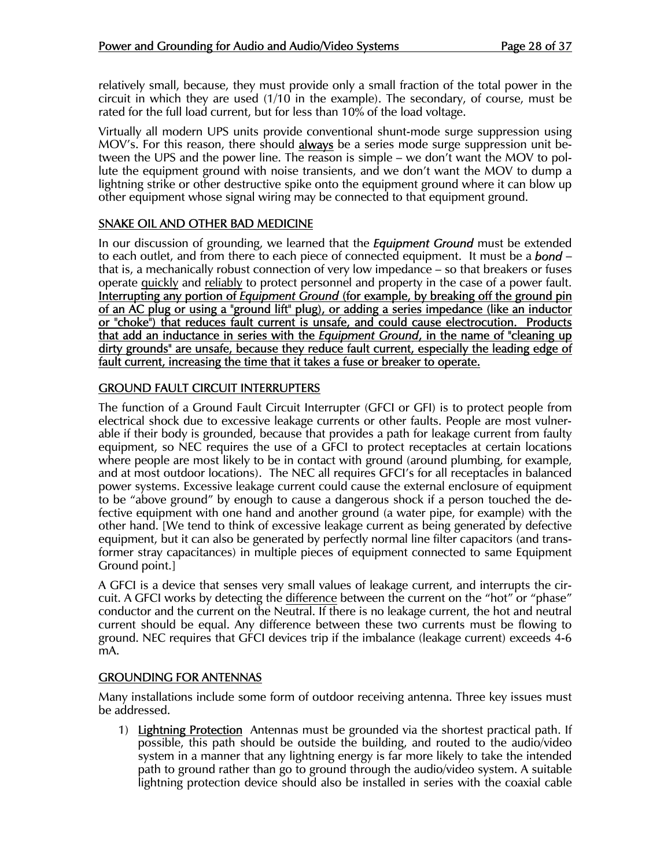relatively small, because, they must provide only a small fraction of the total power in the circuit in which they are used (1/10 in the example). The secondary, of course, must be rated for the full load current, but for less than 10% of the load voltage.

Virtually all modern UPS units provide conventional shunt-mode surge suppression using MOV's. For this reason, there should **always** be a series mode surge suppression unit between the UPS and the power line. The reason is simple – we don't want the MOV to pollute the equipment ground with noise transients, and we don't want the MOV to dump a lightning strike or other destructive spike onto the equipment ground where it can blow up other equipment whose signal wiring may be connected to that equipment ground.

### SNAKE OIL AND OTHER BAD MEDICINE

In our discussion of grounding, we learned that the *Equipment Ground* must be extended to each outlet, and from there to each piece of connected equipment. It must be a *bond* – that is, a mechanically robust connection of very low impedance – so that breakers or fuses operate quickly and reliably to protect personnel and property in the case of a power fault. Interrupting any portion of *Equipment Ground* (for example, by breaking off the ground pin of an AC plug or using a "ground lift" plug), or adding a series impedance (like an inductor or "choke") that reduces fault current is unsafe, and could cause electrocution. Products that add an inductance in series with the *Equipment Ground*, in the name of "cleaning up dirty grounds" are unsafe, because they reduce fault current, especially the leading edge of fault current, increasing the time that it takes a fuse or breaker to operate.

#### GROUND FAULT CIRCUIT INTERRUPTERS

The function of a Ground Fault Circuit Interrupter (GFCI or GFI) is to protect people from electrical shock due to excessive leakage currents or other faults. People are most vulnerable if their body is grounded, because that provides a path for leakage current from faulty equipment, so NEC requires the use of a GFCI to protect receptacles at certain locations where people are most likely to be in contact with ground (around plumbing, for example, and at most outdoor locations). The NEC all requires GFCI's for all receptacles in balanced power systems. Excessive leakage current could cause the external enclosure of equipment to be "above ground" by enough to cause a dangerous shock if a person touched the defective equipment with one hand and another ground (a water pipe, for example) with the other hand. [We tend to think of excessive leakage current as being generated by defective equipment, but it can also be generated by perfectly normal line filter capacitors (and transformer stray capacitances) in multiple pieces of equipment connected to same Equipment Ground point.]

A GFCI is a device that senses very small values of leakage current, and interrupts the circuit. A GFCI works by detecting the difference between the current on the "hot" or "phase" conductor and the current on the Neutral. If there is no leakage current, the hot and neutral current should be equal. Any difference between these two currents must be flowing to ground. NEC requires that GFCI devices trip if the imbalance (leakage current) exceeds 4-6 mA.

#### GROUNDING FOR ANTENNAS

Many installations include some form of outdoor receiving antenna. Three key issues must be addressed.

1) Lightning Protection Antennas must be grounded via the shortest practical path. If possible, this path should be outside the building, and routed to the audio/video system in a manner that any lightning energy is far more likely to take the intended path to ground rather than go to ground through the audio/video system. A suitable lightning protection device should also be installed in series with the coaxial cable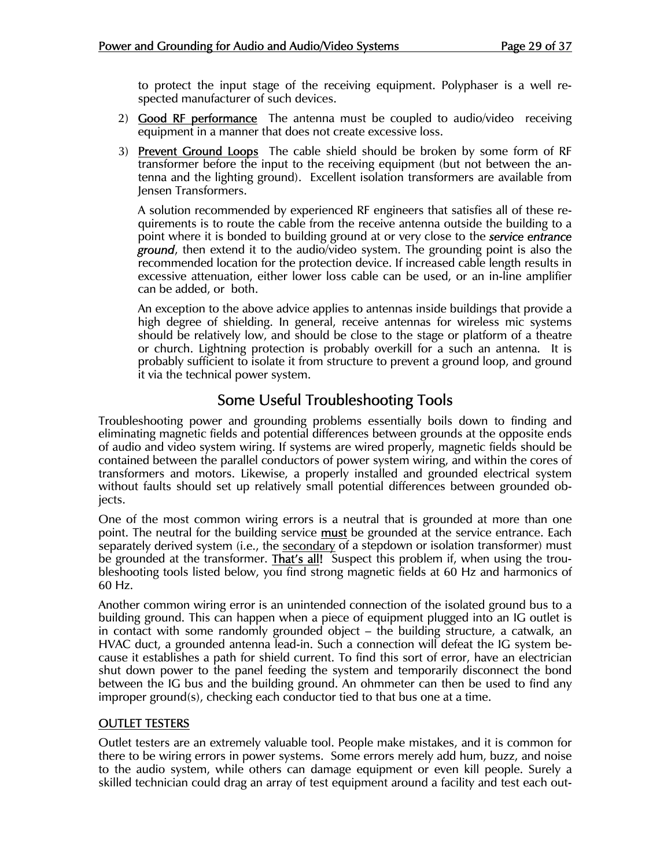to protect the input stage of the receiving equipment. Polyphaser is a well respected manufacturer of such devices.

- 2) Good RF performance The antenna must be coupled to audio/video receiving equipment in a manner that does not create excessive loss.
- 3) Prevent Ground Loops The cable shield should be broken by some form of RF transformer before the input to the receiving equipment (but not between the antenna and the lighting ground). Excellent isolation transformers are available from Jensen Transformers.

 A solution recommended by experienced RF engineers that satisfies all of these requirements is to route the cable from the receive antenna outside the building to a point where it is bonded to building ground at or very close to the *service entrance ground*, then extend it to the audio/video system. The grounding point is also the recommended location for the protection device. If increased cable length results in excessive attenuation, either lower loss cable can be used, or an in-line amplifier can be added, or both.

 An exception to the above advice applies to antennas inside buildings that provide a high degree of shielding. In general, receive antennas for wireless mic systems should be relatively low, and should be close to the stage or platform of a theatre or church. Lightning protection is probably overkill for a such an antenna. It is probably sufficient to isolate it from structure to prevent a ground loop, and ground it via the technical power system.

## Some Useful Troubleshooting Tools

Troubleshooting power and grounding problems essentially boils down to finding and eliminating magnetic fields and potential differences between grounds at the opposite ends of audio and video system wiring. If systems are wired properly, magnetic fields should be contained between the parallel conductors of power system wiring, and within the cores of transformers and motors. Likewise, a properly installed and grounded electrical system without faults should set up relatively small potential differences between grounded objects.

One of the most common wiring errors is a neutral that is grounded at more than one point. The neutral for the building service **must** be grounded at the service entrance. Each separately derived system (i.e., the secondary of a stepdown or isolation transformer) must be grounded at the transformer. **That's all!** Suspect this problem if, when using the troubleshooting tools listed below, you find strong magnetic fields at 60 Hz and harmonics of 60 Hz.

Another common wiring error is an unintended connection of the isolated ground bus to a building ground. This can happen when a piece of equipment plugged into an IG outlet is in contact with some randomly grounded object – the building structure, a catwalk, an HVAC duct, a grounded antenna lead-in. Such a connection will defeat the IG system because it establishes a path for shield current. To find this sort of error, have an electrician shut down power to the panel feeding the system and temporarily disconnect the bond between the IG bus and the building ground. An ohmmeter can then be used to find any improper ground(s), checking each conductor tied to that bus one at a time.

#### OUTLET TESTERS

Outlet testers are an extremely valuable tool. People make mistakes, and it is common for there to be wiring errors in power systems. Some errors merely add hum, buzz, and noise to the audio system, while others can damage equipment or even kill people. Surely a skilled technician could drag an array of test equipment around a facility and test each out-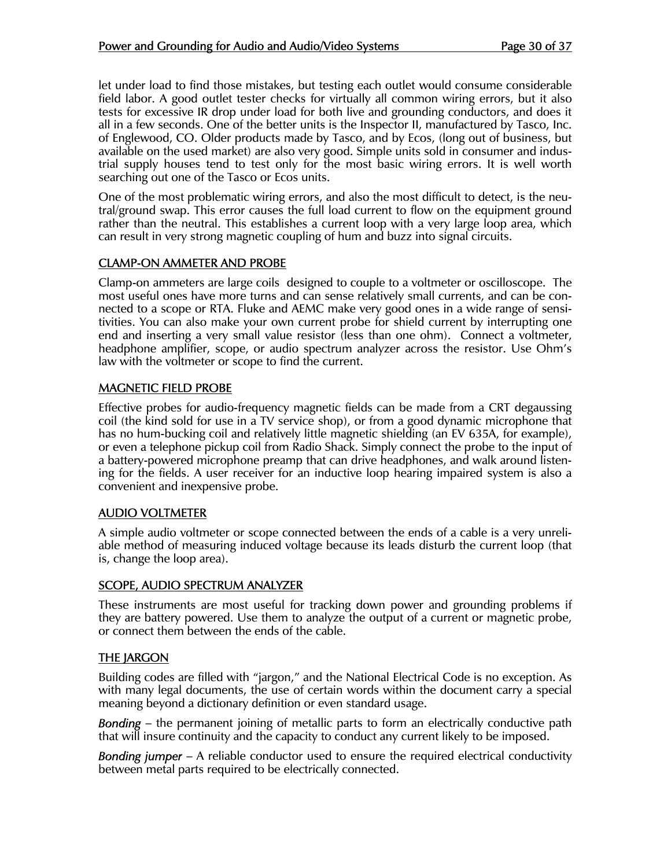let under load to find those mistakes, but testing each outlet would consume considerable field labor. A good outlet tester checks for virtually all common wiring errors, but it also tests for excessive IR drop under load for both live and grounding conductors, and does it all in a few seconds. One of the better units is the Inspector II, manufactured by Tasco, Inc. of Englewood, CO. Older products made by Tasco, and by Ecos, (long out of business, but available on the used market) are also very good. Simple units sold in consumer and industrial supply houses tend to test only for the most basic wiring errors. It is well worth searching out one of the Tasco or Ecos units.

One of the most problematic wiring errors, and also the most difficult to detect, is the neutral/ground swap. This error causes the full load current to flow on the equipment ground rather than the neutral. This establishes a current loop with a very large loop area, which can result in very strong magnetic coupling of hum and buzz into signal circuits.

#### CLAMP-ON AMMETER AND PROBE

Clamp-on ammeters are large coils designed to couple to a voltmeter or oscilloscope. The most useful ones have more turns and can sense relatively small currents, and can be connected to a scope or RTA. Fluke and AEMC make very good ones in a wide range of sensitivities. You can also make your own current probe for shield current by interrupting one end and inserting a very small value resistor (less than one ohm). Connect a voltmeter, headphone amplifier, scope, or audio spectrum analyzer across the resistor. Use Ohm's law with the voltmeter or scope to find the current.

#### MAGNETIC FIELD PROBE

Effective probes for audio-frequency magnetic fields can be made from a CRT degaussing coil (the kind sold for use in a TV service shop), or from a good dynamic microphone that has no hum-bucking coil and relatively little magnetic shielding (an EV 635A, for example), or even a telephone pickup coil from Radio Shack. Simply connect the probe to the input of a battery-powered microphone preamp that can drive headphones, and walk around listening for the fields. A user receiver for an inductive loop hearing impaired system is also a convenient and inexpensive probe.

#### AUDIO VOLTMETER

A simple audio voltmeter or scope connected between the ends of a cable is a very unreliable method of measuring induced voltage because its leads disturb the current loop (that is, change the loop area).

#### SCOPE, AUDIO SPECTRUM ANALYZER

These instruments are most useful for tracking down power and grounding problems if they are battery powered. Use them to analyze the output of a current or magnetic probe, or connect them between the ends of the cable.

#### THE JARGON

Building codes are filled with "jargon," and the National Electrical Code is no exception. As with many legal documents, the use of certain words within the document carry a special meaning beyond a dictionary definition or even standard usage.

*Bonding* – the permanent joining of metallic parts to form an electrically conductive path that will insure continuity and the capacity to conduct any current likely to be imposed.

*Bonding jumper* – A reliable conductor used to ensure the required electrical conductivity between metal parts required to be electrically connected.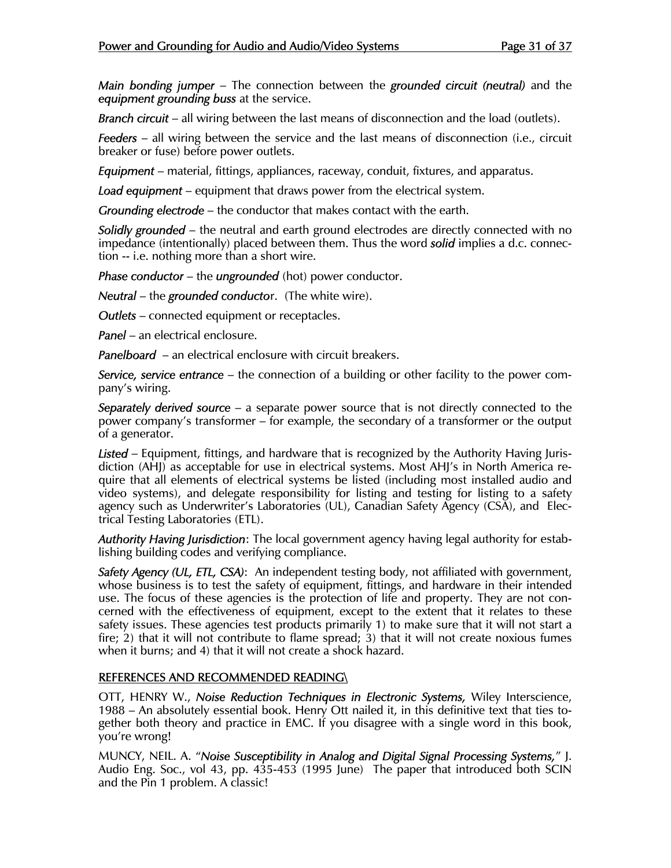*Main bonding jumper* – The connection between the *grounded circuit (neutral)* and the *equipment grounding buss* at the service.

*Branch circuit* – all wiring between the last means of disconnection and the load (outlets).

*Feeders* – all wiring between the service and the last means of disconnection (i.e., circuit breaker or fuse) before power outlets.

*Equipment* – material, fittings, appliances, raceway, conduit, fixtures, and apparatus.

*Load equipment* – equipment that draws power from the electrical system.

*Grounding electrode* – the conductor that makes contact with the earth.

*Solidly grounded* – the neutral and earth ground electrodes are directly connected with no impedance (intentionally) placed between them. Thus the word *solid* implies a d.c. connection -- i.e. nothing more than a short wire.

*Phase conductor* – the *ungrounded* (hot) power conductor.

*Neutral* – the *grounded conducto*r. (The white wire).

*Outlets* – connected equipment or receptacles.

*Panel* – an electrical enclosure.

*Panelboard* – an electrical enclosure with circuit breakers.

*Service, service entrance* – the connection of a building or other facility to the power company's wiring.

*Separately derived source* – a separate power source that is not directly connected to the power company's transformer – for example, the secondary of a transformer or the output of a generator.

*Listed* – Equipment, fittings, and hardware that is recognized by the Authority Having Jurisdiction (AHJ) as acceptable for use in electrical systems. Most AHJ's in North America require that all elements of electrical systems be listed (including most installed audio and video systems), and delegate responsibility for listing and testing for listing to a safety agency such as Underwriter's Laboratories (UL), Canadian Safety Agency (CSA), and Electrical Testing Laboratories (ETL).

*Authority Having Jurisdiction*: The local government agency having legal authority for establishing building codes and verifying compliance.

*Safety Agency (UL, ETL, CSA)*: An independent testing body, not affiliated with government, whose business is to test the safety of equipment, fittings, and hardware in their intended use. The focus of these agencies is the protection of life and property. They are not concerned with the effectiveness of equipment, except to the extent that it relates to these safety issues. These agencies test products primarily 1) to make sure that it will not start a fire; 2) that it will not contribute to flame spread; 3) that it will not create noxious fumes when it burns; and 4) that it will not create a shock hazard.

#### REFERENCES AND RECOMMENDED READING\

OTT, HENRY W., *Noise Reduction Techniques in Electronic Systems,* Wiley Interscience, 1988 – An absolutely essential book. Henry Ott nailed it, in this definitive text that ties together both theory and practice in EMC. If you disagree with a single word in this book, you're wrong!

MUNCY, NEIL. A. "*Noise Susceptibility in Analog and Digital Signal Processing Systems,*" J. Audio Eng. Soc., vol 43, pp. 435-453 (1995 June) The paper that introduced both SCIN and the Pin 1 problem. A classic!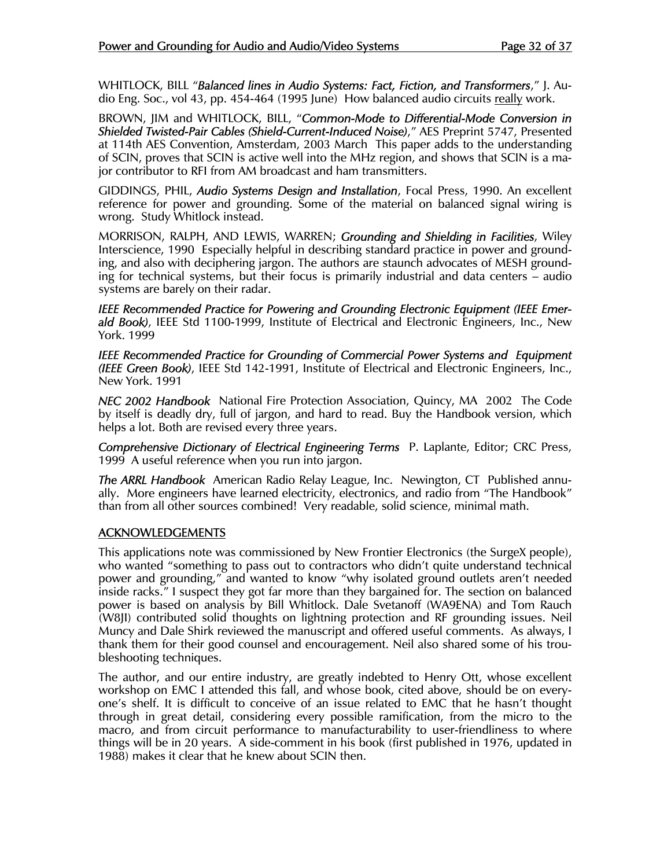WHITLOCK, BILL "*Balanced lines in Audio Systems: Fact, Fiction, and Transformers*," J. Audio Eng. Soc., vol 43, pp. 454-464 (1995 June) How balanced audio circuits really work.

BROWN, JIM and WHITLOCK, BILL, "*Common-Mode to Differential-Mode Conversion in Shielded Twisted-Pair Cables (Shield-Current-Induced Noise)*," AES Preprint 5747, Presented at 114th AES Convention, Amsterdam, 2003 March This paper adds to the understanding of SCIN, proves that SCIN is active well into the MHz region, and shows that SCIN is a major contributor to RFI from AM broadcast and ham transmitters.

GIDDINGS, PHIL, *Audio Systems Design and Installation*, Focal Press, 1990. An excellent reference for power and grounding. Some of the material on balanced signal wiring is wrong. Study Whitlock instead.

MORRISON, RALPH, AND LEWIS, WARREN; *Grounding and Shielding in Facilities*, Wiley Interscience, 1990 Especially helpful in describing standard practice in power and grounding, and also with deciphering jargon. The authors are staunch advocates of MESH grounding for technical systems, but their focus is primarily industrial and data centers – audio systems are barely on their radar.

*IEEE Recommended Practice for Powering and Grounding Electronic Equipment (IEEE Emerald Book)*, IEEE Std 1100-1999, Institute of Electrical and Electronic Engineers, Inc., New York. 1999

*IEEE Recommended Practice for Grounding of Commercial Power Systems and Equipment (IEEE Green Book)*, IEEE Std 142-1991, Institute of Electrical and Electronic Engineers, Inc., New York. 1991

*NEC 2002 Handbook* National Fire Protection Association, Quincy, MA 2002 The Code by itself is deadly dry, full of jargon, and hard to read. Buy the Handbook version, which helps a lot. Both are revised every three years.

*Comprehensive Dictionary of Electrical Engineering Terms* P. Laplante, Editor; CRC Press, 1999 A useful reference when you run into jargon.

*The ARRL Handbook* American Radio Relay League, Inc. Newington, CT Published annually. More engineers have learned electricity, electronics, and radio from "The Handbook" than from all other sources combined! Very readable, solid science, minimal math.

#### ACKNOWLEDGEMENTS

This applications note was commissioned by New Frontier Electronics (the SurgeX people), who wanted "something to pass out to contractors who didn't quite understand technical power and grounding," and wanted to know "why isolated ground outlets aren't needed inside racks." I suspect they got far more than they bargained for. The section on balanced power is based on analysis by Bill Whitlock. Dale Svetanoff (WA9ENA) and Tom Rauch (W8JI) contributed solid thoughts on lightning protection and RF grounding issues. Neil Muncy and Dale Shirk reviewed the manuscript and offered useful comments. As always, I thank them for their good counsel and encouragement. Neil also shared some of his troubleshooting techniques.

The author, and our entire industry, are greatly indebted to Henry Ott, whose excellent workshop on EMC I attended this fall, and whose book, cited above, should be on everyone's shelf. It is difficult to conceive of an issue related to EMC that he hasn't thought through in great detail, considering every possible ramification, from the micro to the macro, and from circuit performance to manufacturability to user-friendliness to where things will be in 20 years. A side-comment in his book (first published in 1976, updated in 1988) makes it clear that he knew about SCIN then.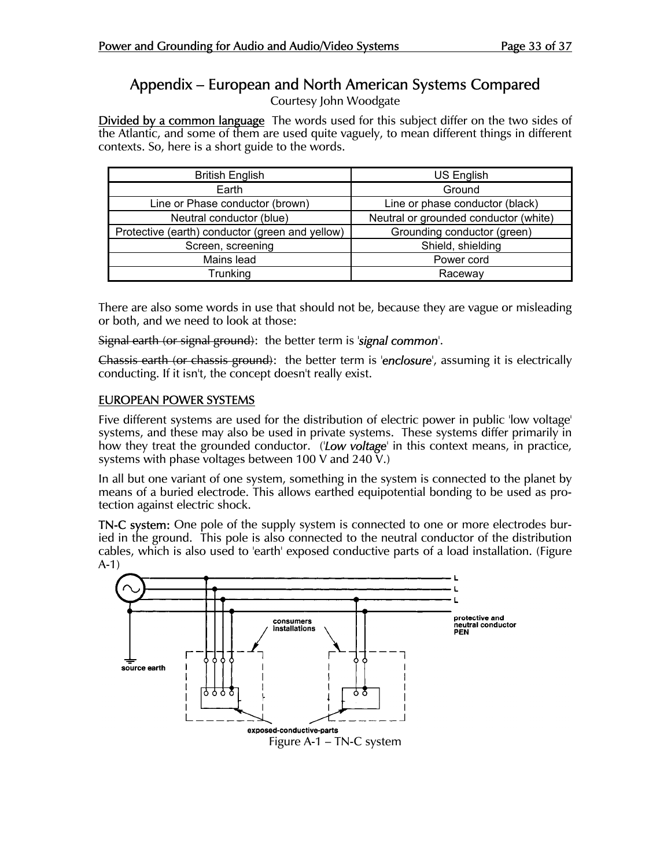# Appendix – European and North American Systems Compared

Courtesy John Woodgate

Divided by a common language The words used for this subject differ on the two sides of the Atlantic, and some of them are used quite vaguely, to mean different things in different contexts. So, here is a short guide to the words.

| <b>British English</b>                          | US English                            |
|-------------------------------------------------|---------------------------------------|
| Earth                                           | Ground                                |
| Line or Phase conductor (brown)                 | Line or phase conductor (black)       |
| Neutral conductor (blue)                        | Neutral or grounded conductor (white) |
| Protective (earth) conductor (green and yellow) | Grounding conductor (green)           |
| Screen, screening                               | Shield, shielding                     |
| Mains lead                                      | Power cord                            |
| Trunking                                        | Raceway                               |

There are also some words in use that should not be, because they are vague or misleading or both, and we need to look at those:

Signal earth (or signal ground): the better term is '*signal common*'.

Chassis earth (or chassis ground): the better term is '*enclosure*', assuming it is electrically conducting. If it isn't, the concept doesn't really exist.

#### EUROPEAN POWER SYSTEMS

Five different systems are used for the distribution of electric power in public 'low voltage' systems, and these may also be used in private systems. These systems differ primarily in how they treat the grounded conductor. ('*Low voltage*' in this context means, in practice, systems with phase voltages between 100 V and 240 V.

In all but one variant of one system, something in the system is connected to the planet by means of a buried electrode. This allows earthed equipotential bonding to be used as protection against electric shock.

TN-C system: One pole of the supply system is connected to one or more electrodes buried in the ground. This pole is also connected to the neutral conductor of the distribution cables, which is also used to 'earth' exposed conductive parts of a load installation. (Figure A-1)

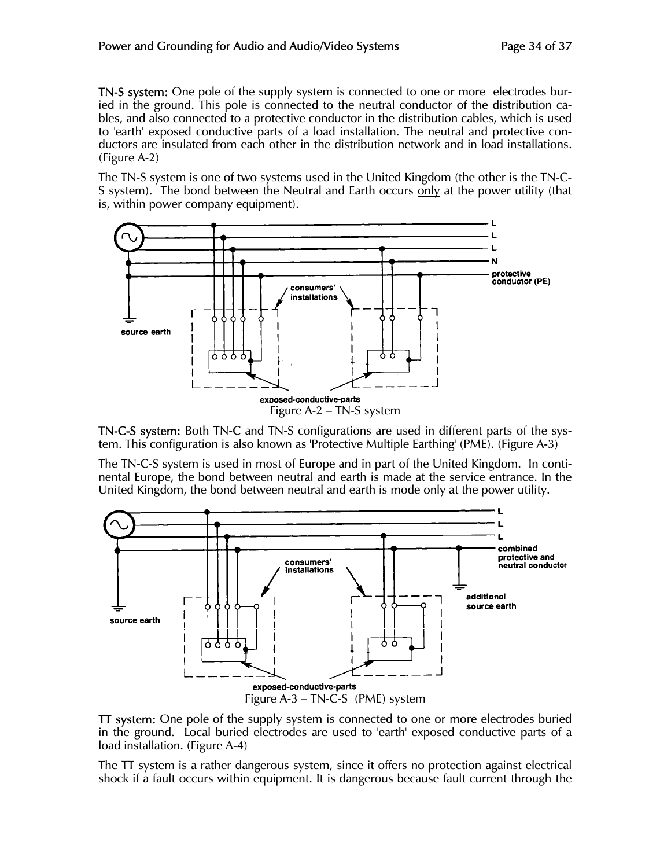**TN-S system:** One pole of the supply system is connected to one or more electrodes buried in the ground. This pole is connected to the neutral conductor of the distribution cables, and also connected to a protective conductor in the distribution cables, which is used to 'earth' exposed conductive parts of a load installation. The neutral and protective conductors are insulated from each other in the distribution network and in load installations. (Figure A-2)

The TN-S system is one of two systems used in the United Kingdom (the other is the TN-C-S system). The bond between the Neutral and Earth occurs only at the power utility (that is, within power company equipment).



TN-C-S system: Both TN-C and TN-S configurations are used in different parts of the system. This configuration is also known as 'Protective Multiple Earthing' (PME). (Figure A-3)

The TN-C-S system is used in most of Europe and in part of the United Kingdom. In continental Europe, the bond between neutral and earth is made at the service entrance. In the United Kingdom, the bond between neutral and earth is mode only at the power utility.



TT system: One pole of the supply system is connected to one or more electrodes buried in the ground. Local buried electrodes are used to 'earth' exposed conductive parts of a load installation. (Figure A-4)

The TT system is a rather dangerous system, since it offers no protection against electrical shock if a fault occurs within equipment. It is dangerous because fault current through the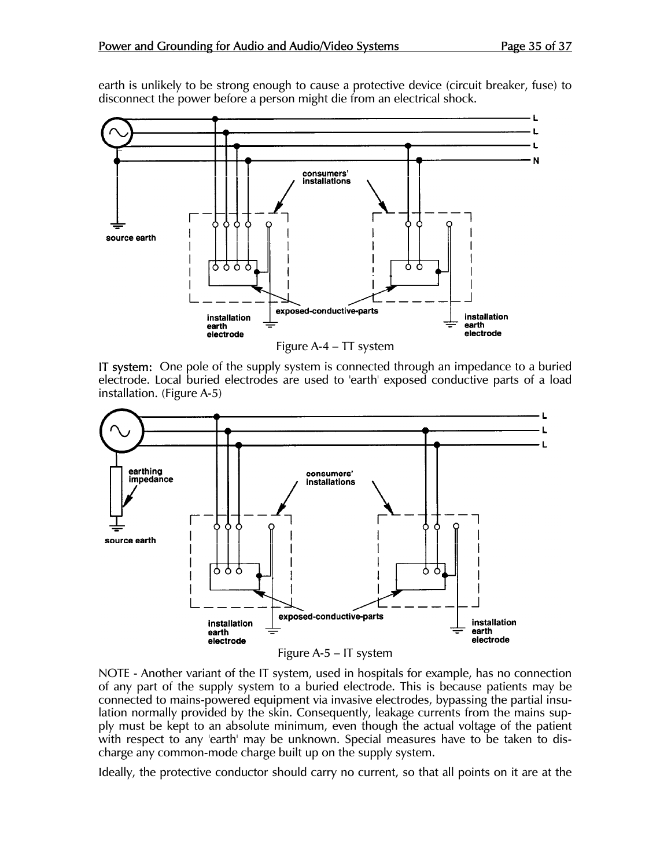earth is unlikely to be strong enough to cause a protective device (circuit breaker, fuse) to disconnect the power before a person might die from an electrical shock.



Figure A-4 – TT system

IT system: One pole of the supply system is connected through an impedance to a buried electrode. Local buried electrodes are used to 'earth' exposed conductive parts of a load installation. (Figure A-5)



Figure A-5 – IT system

NOTE - Another variant of the IT system, used in hospitals for example, has no connection of any part of the supply system to a buried electrode. This is because patients may be connected to mains-powered equipment via invasive electrodes, bypassing the partial insulation normally provided by the skin. Consequently, leakage currents from the mains supply must be kept to an absolute minimum, even though the actual voltage of the patient with respect to any 'earth' may be unknown. Special measures have to be taken to discharge any common-mode charge built up on the supply system.

Ideally, the protective conductor should carry no current, so that all points on it are at the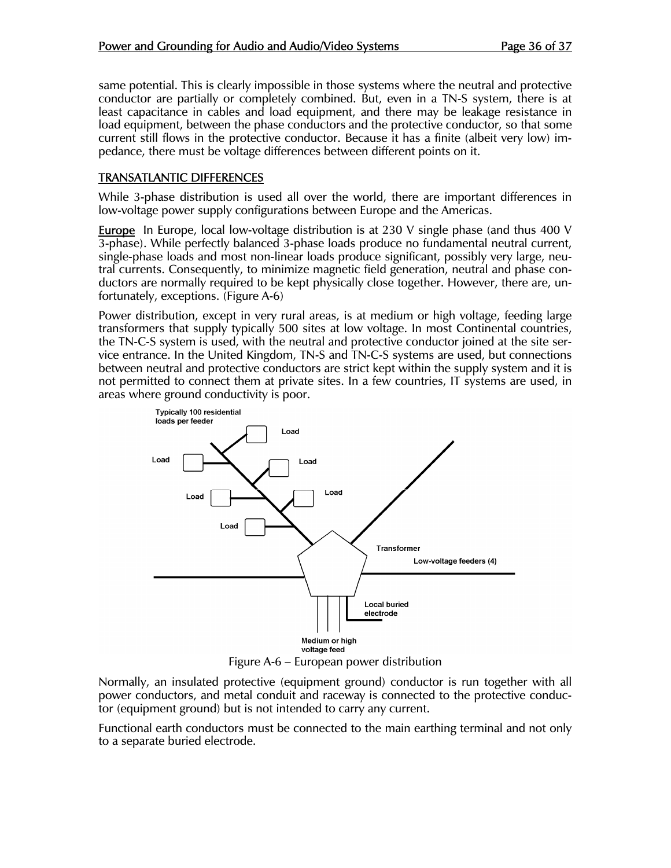same potential. This is clearly impossible in those systems where the neutral and protective conductor are partially or completely combined. But, even in a TN-S system, there is at least capacitance in cables and load equipment, and there may be leakage resistance in load equipment, between the phase conductors and the protective conductor, so that some current still flows in the protective conductor. Because it has a finite (albeit very low) impedance, there must be voltage differences between different points on it.

#### TRANSATLANTIC DIFFERENCES

While 3-phase distribution is used all over the world, there are important differences in low-voltage power supply configurations between Europe and the Americas.

**Europe** In Europe, local low-voltage distribution is at 230 V single phase (and thus 400 V 3-phase). While perfectly balanced 3-phase loads produce no fundamental neutral current, single-phase loads and most non-linear loads produce significant, possibly very large, neutral currents. Consequently, to minimize magnetic field generation, neutral and phase conductors are normally required to be kept physically close together. However, there are, unfortunately, exceptions. (Figure A-6)

Power distribution, except in very rural areas, is at medium or high voltage, feeding large transformers that supply typically 500 sites at low voltage. In most Continental countries, the TN-C-S system is used, with the neutral and protective conductor joined at the site service entrance. In the United Kingdom, TN-S and TN-C-S systems are used, but connections between neutral and protective conductors are strict kept within the supply system and it is not permitted to connect them at private sites. In a few countries, IT systems are used, in areas where ground conductivity is poor.



Figure A-6 – European power distribution

Normally, an insulated protective (equipment ground) conductor is run together with all power conductors, and metal conduit and raceway is connected to the protective conductor (equipment ground) but is not intended to carry any current.

Functional earth conductors must be connected to the main earthing terminal and not only to a separate buried electrode.